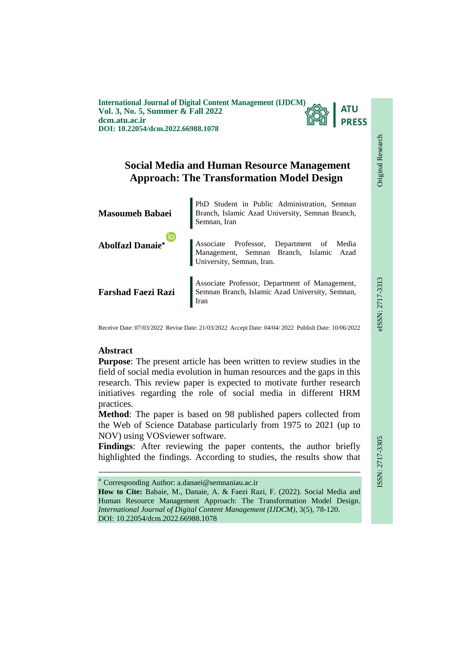**International Journal of Digital Content Management (IJDCM) Vol. 3, No. 5, Summer & Fall 2022 dcm.atu.ac.ir DOI: 10.22054/dcm.2022.66988.1078**



Original Research

Original Research

**EIEE-717-3313** 

# **Social Media and Human Resource Management Approach: The Transformation Model Design**

| <b>Masoumeh Babaei</b>  | PhD Student in Public Administration, Semnan Branch, Islamic Azad University, Semnan Branch,<br>Semnan, Iran     |  |  |
|-------------------------|------------------------------------------------------------------------------------------------------------------|--|--|
| <b>Abolfazl Danaie*</b> | Associate Professor, Department of Media<br>Management, Semnan Branch, Islamic Azad<br>University, Semnan, Iran. |  |  |
|                         | <b>Farshad Faezi Razi</b> Semnan Branch, Islamic Azad University, Semnan,<br>Iran                                |  |  |

Receive Date: 07/03/2022 Revise Date: 21/03/2022 Accept Date: 04/04/ 2022 Publish Date: 10/06/2022

## **Abstract**

**Purpose**: The present article has been written to review studies in the field of social media evolution in human resources and the gaps in this research. This review paper is expected to motivate further research initiatives regarding the role of social media in different HRM practices.

**Method**: The paper is based on 98 published papers collected from the Web of Science Database particularly from 1975 to 2021 (up to NOV) using VOSviewer software.

**Findings**: After reviewing the paper contents, the author briefly highlighted the findings. According to studies, the results show that

ـــــــــــــــــــــــــــــــــــــــــــــــــــــــــــــــــــــــــــــــــــــــــــــــــــــــــــــــــــــــــــــ

Corresponding Author: a.danaei@semnaniau.ac.ir

**How to Cite:** Babaie, M., Danaie, A. & Faezi Razi, F. (2022). Social Media and Human Resource Management Approach: The Transformation Model Design. *International Journal of Digital Content Management (IJDCM)*, 3(5), 78-120. DOI: 10.22054/dcm.2022.66988.1078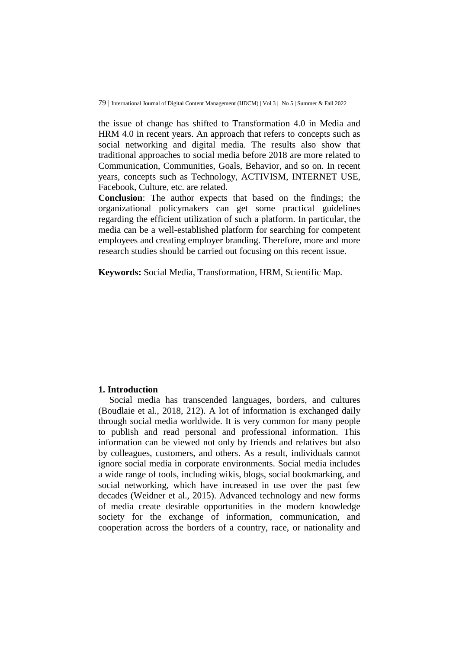the issue of change has shifted to Transformation 4.0 in Media and HRM 4.0 in recent years. An approach that refers to concepts such as social networking and digital media. The results also show that traditional approaches to social media before 2018 are more related to Communication, Communities, Goals, Behavior, and so on. In recent years, concepts such as Technology, ACTIVISM, INTERNET USE, Facebook, Culture, etc. are related.

**Conclusion**: The author expects that based on the findings; the organizational policymakers can get some practical guidelines regarding the efficient utilization of such a platform. In particular, the media can be a well-established platform for searching for competent employees and creating employer branding. Therefore, more and more research studies should be carried out focusing on this recent issue.

**Keywords:** Social Media, Transformation, HRM, Scientific Map.

## **1. Introduction**

Social media has transcended languages, borders, and cultures (Boudlaie et al., 2018, 212). A lot of information is exchanged daily through social media worldwide. It is very common for many people to publish and read personal and professional information. This information can be viewed not only by friends and relatives but also by colleagues, customers, and others. As a result, individuals cannot ignore social media in corporate environments. Social media includes a wide range of tools, including wikis, blogs, social bookmarking, and social networking, which have increased in use over the past few decades (Weidner et al., 2015). Advanced technology and new forms of media create desirable opportunities in the modern knowledge society for the exchange of information, communication, and cooperation across the borders of a country, race, or nationality and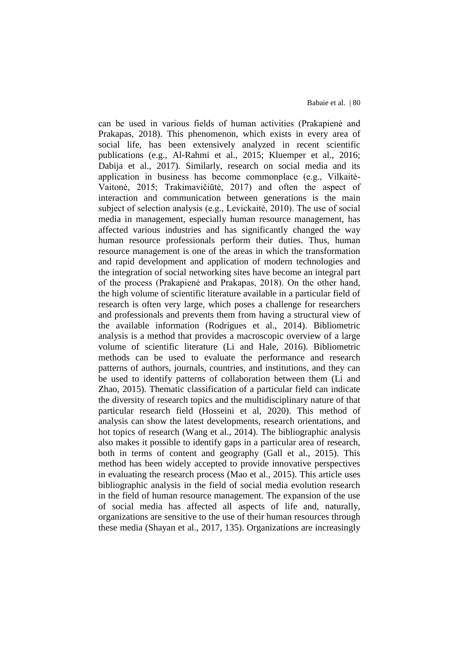can be used in various fields of human activities (Prakapienė and Prakapas, 2018). This phenomenon, which exists in every area of social life, has been extensively analyzed in recent scientific publications (e.g., Al-Rahmi et al., 2015; Kluemper et al., 2016; Dabija et al., 2017). Similarly, research on social media and its application in business has become commonplace (e.g., Vilkaitė-Vaitonė, 2015; Trakimavičiūtė, 2017) and often the aspect of interaction and communication between generations is the main subject of selection analysis (e.g., Levickaitė, 2010). The use of social media in management, especially human resource management, has affected various industries and has significantly changed the way human resource professionals perform their duties. Thus, human resource management is one of the areas in which the transformation and rapid development and application of modern technologies and the integration of social networking sites have become an integral part of the process (Prakapienė and Prakapas, 2018). On the other hand, the high volume of scientific literature available in a particular field of research is often very large, which poses a challenge for researchers and professionals and prevents them from having a structural view of the available information (Rodrigues et al., 2014). Bibliometric analysis is a method that provides a macroscopic overview of a large volume of scientific literature (Li and Hale, 2016). Bibliometric methods can be used to evaluate the performance and research patterns of authors, journals, countries, and institutions, and they can be used to identify patterns of collaboration between them (Li and Zhao, 2015). Thematic classification of a particular field can indicate the diversity of research topics and the multidisciplinary nature of that particular research field (Hosseini et al, 2020). This method of analysis can show the latest developments, research orientations, and hot topics of research (Wang et al., 2014). The bibliographic analysis also makes it possible to identify gaps in a particular area of research, both in terms of content and geography (Gall et al., 2015). This method has been widely accepted to provide innovative perspectives in evaluating the research process (Mao et al., 2015). This article uses bibliographic analysis in the field of social media evolution research in the field of human resource management. The expansion of the use of social media has affected all aspects of life and, naturally, organizations are sensitive to the use of their human resources through these media (Shayan et al., 2017, 135). Organizations are increasingly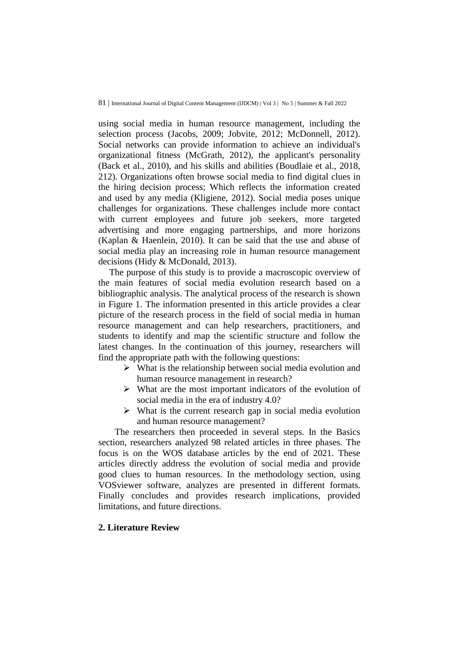using social media in human resource management, including the selection process (Jacobs, 2009; Jobvite, 2012; McDonnell, 2012). Social networks can provide information to achieve an individual's organizational fitness (McGrath, 2012), the applicant's personality (Back et al., 2010), and his skills and abilities (Boudlaie et al., 2018, 212). Organizations often browse social media to find digital clues in the hiring decision process; Which reflects the information created and used by any media (Kligiene, 2012). Social media poses unique challenges for organizations. These challenges include more contact with current employees and future job seekers, more targeted advertising and more engaging partnerships, and more horizons (Kaplan & Haenlein, 2010). It can be said that the use and abuse of social media play an increasing role in human resource management decisions (Hidy & McDonald, 2013).

The purpose of this study is to provide a macroscopic overview of the main features of social media evolution research based on a bibliographic analysis. The analytical process of the research is shown in Figure 1. The information presented in this article provides a clear picture of the research process in the field of social media in human resource management and can help researchers, practitioners, and students to identify and map the scientific structure and follow the latest changes. In the continuation of this journey, researchers will find the appropriate path with the following questions:

- $\triangleright$  What is the relationship between social media evolution and human resource management in research?
- $\triangleright$  What are the most important indicators of the evolution of social media in the era of industry 4.0?
- $\triangleright$  What is the current research gap in social media evolution and human resource management?

The researchers then proceeded in several steps. In the Basics section, researchers analyzed 98 related articles in three phases. The focus is on the WOS database articles by the end of 2021. These articles directly address the evolution of social media and provide good clues to human resources. In the methodology section, using VOSviewer software, analyzes are presented in different formats. Finally concludes and provides research implications, provided limitations, and future directions.

## **2. Literature Review**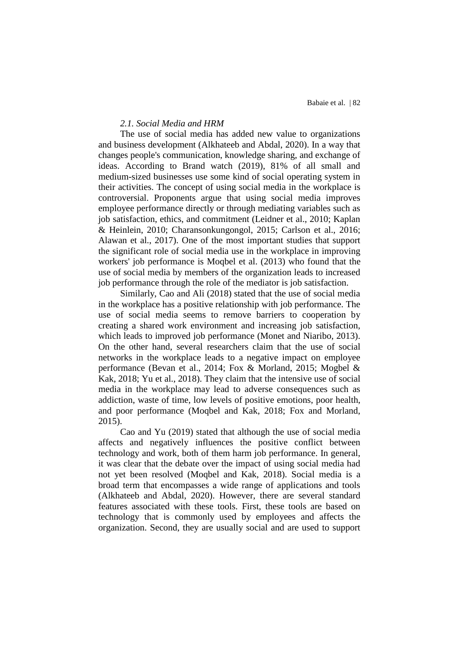## *2.1. Social Media and HRM*

The use of social media has added new value to organizations and business development (Alkhateeb and Abdal, 2020). In a way that changes people's communication, knowledge sharing, and exchange of ideas. According to Brand watch (2019), 81% of all small and medium-sized businesses use some kind of social operating system in their activities. The concept of using social media in the workplace is controversial. Proponents argue that using social media improves employee performance directly or through mediating variables such as job satisfaction, ethics, and commitment (Leidner et al., 2010; Kaplan & Heinlein, 2010; Charansonkungongol, 2015; Carlson et al., 2016; Alawan et al., 2017). One of the most important studies that support the significant role of social media use in the workplace in improving workers' job performance is Moqbel et al. (2013) who found that the use of social media by members of the organization leads to increased job performance through the role of the mediator is job satisfaction.

Similarly, Cao and Ali (2018) stated that the use of social media in the workplace has a positive relationship with job performance. The use of social media seems to remove barriers to cooperation by creating a shared work environment and increasing job satisfaction, which leads to improved job performance (Monet and Niaribo, 2013). On the other hand, several researchers claim that the use of social networks in the workplace leads to a negative impact on employee performance (Bevan et al., 2014; Fox & Morland, 2015; Mogbel & Kak, 2018; Yu et al., 2018). They claim that the intensive use of social media in the workplace may lead to adverse consequences such as addiction, waste of time, low levels of positive emotions, poor health, and poor performance (Moqbel and Kak, 2018; Fox and Morland, 2015).

Cao and Yu (2019) stated that although the use of social media affects and negatively influences the positive conflict between technology and work, both of them harm job performance. In general, it was clear that the debate over the impact of using social media had not yet been resolved (Moqbel and Kak, 2018). Social media is a broad term that encompasses a wide range of applications and tools (Alkhateeb and Abdal, 2020). However, there are several standard features associated with these tools. First, these tools are based on technology that is commonly used by employees and affects the organization. Second, they are usually social and are used to support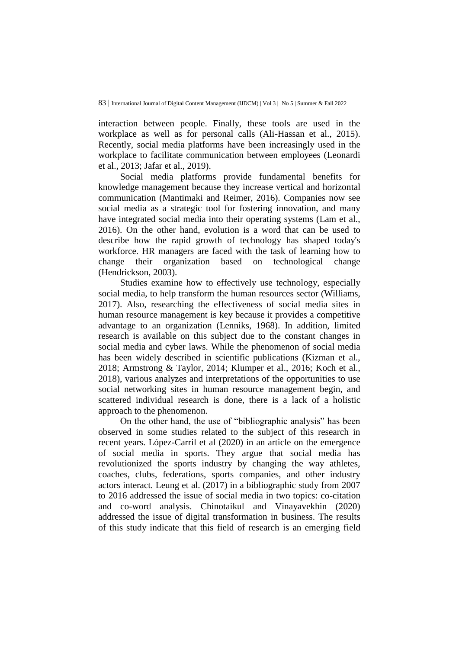interaction between people. Finally, these tools are used in the workplace as well as for personal calls (Ali-Hassan et al., 2015). Recently, social media platforms have been increasingly used in the workplace to facilitate communication between employees (Leonardi et al., 2013; Jafar et al., 2019).

Social media platforms provide fundamental benefits for knowledge management because they increase vertical and horizontal communication (Mantimaki and Reimer, 2016). Companies now see social media as a strategic tool for fostering innovation, and many have integrated social media into their operating systems (Lam et al., 2016). On the other hand, evolution is a word that can be used to describe how the rapid growth of technology has shaped today's workforce. HR managers are faced with the task of learning how to change their organization based on technological change (Hendrickson, 2003).

Studies examine how to effectively use technology, especially social media, to help transform the human resources sector (Williams, 2017). Also, researching the effectiveness of social media sites in human resource management is key because it provides a competitive advantage to an organization (Lenniks, 1968). In addition, limited research is available on this subject due to the constant changes in social media and cyber laws. While the phenomenon of social media has been widely described in scientific publications (Kizman et al., 2018; Armstrong & Taylor, 2014; Klumper et al., 2016; Koch et al., 2018), various analyzes and interpretations of the opportunities to use social networking sites in human resource management begin, and scattered individual research is done, there is a lack of a holistic approach to the phenomenon.

On the other hand, the use of "bibliographic analysis" has been observed in some studies related to the subject of this research in recent years. López-Carril et al (2020) in an article on the emergence of social media in sports. They argue that social media has revolutionized the sports industry by changing the way athletes, coaches, clubs, federations, sports companies, and other industry actors interact. Leung et al. (2017) in a bibliographic study from 2007 to 2016 addressed the issue of social media in two topics: co-citation and co-word analysis. Chinotaikul and Vinayavekhin (2020) addressed the issue of digital transformation in business. The results of this study indicate that this field of research is an emerging field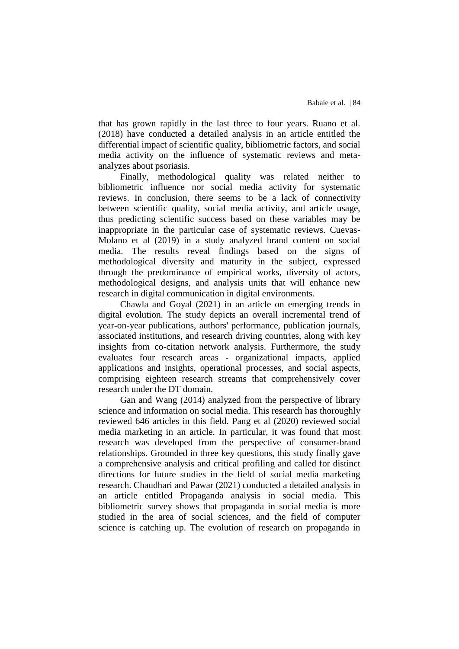that has grown rapidly in the last three to four years. Ruano et al. (2018) have conducted a detailed analysis in an article entitled the differential impact of scientific quality, bibliometric factors, and social media activity on the influence of systematic reviews and metaanalyzes about psoriasis.

Finally, methodological quality was related neither to bibliometric influence nor social media activity for systematic reviews. In conclusion, there seems to be a lack of connectivity between scientific quality, social media activity, and article usage, thus predicting scientific success based on these variables may be inappropriate in the particular case of systematic reviews. Cuevas-Molano et al (2019) in a study analyzed brand content on social media. The results reveal findings based on the signs of methodological diversity and maturity in the subject, expressed through the predominance of empirical works, diversity of actors, methodological designs, and analysis units that will enhance new research in digital communication in digital environments.

Chawla and Goyal (2021) in an article on emerging trends in digital evolution. The study depicts an overall incremental trend of year-on-year publications, authors' performance, publication journals, associated institutions, and research driving countries, along with key insights from co-citation network analysis. Furthermore, the study evaluates four research areas - organizational impacts, applied applications and insights, operational processes, and social aspects, comprising eighteen research streams that comprehensively cover research under the DT domain.

Gan and Wang (2014) analyzed from the perspective of library science and information on social media. This research has thoroughly reviewed 646 articles in this field. Pang et al (2020) reviewed social media marketing in an article. In particular, it was found that most research was developed from the perspective of consumer-brand relationships. Grounded in three key questions, this study finally gave a comprehensive analysis and critical profiling and called for distinct directions for future studies in the field of social media marketing research. Chaudhari and Pawar (2021) conducted a detailed analysis in an article entitled Propaganda analysis in social media. This bibliometric survey shows that propaganda in social media is more studied in the area of social sciences, and the field of computer science is catching up. The evolution of research on propaganda in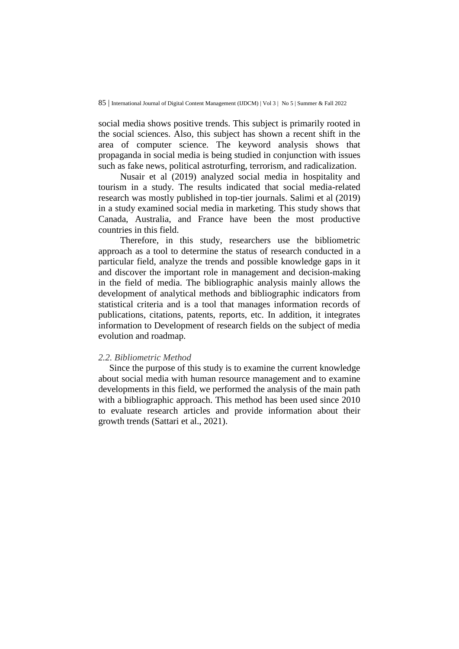social media shows positive trends. This subject is primarily rooted in the social sciences. Also, this subject has shown a recent shift in the area of computer science. The keyword analysis shows that propaganda in social media is being studied in conjunction with issues such as fake news, political astroturfing, terrorism, and radicalization.

Nusair et al (2019) analyzed social media in hospitality and tourism in a study. The results indicated that social media-related research was mostly published in top-tier journals. Salimi et al (2019) in a study examined social media in marketing. This study shows that Canada, Australia, and France have been the most productive countries in this field.

Therefore, in this study, researchers use the bibliometric approach as a tool to determine the status of research conducted in a particular field, analyze the trends and possible knowledge gaps in it and discover the important role in management and decision-making in the field of media. The bibliographic analysis mainly allows the development of analytical methods and bibliographic indicators from statistical criteria and is a tool that manages information records of publications, citations, patents, reports, etc. In addition, it integrates information to Development of research fields on the subject of media evolution and roadmap.

#### *2.2. Bibliometric Method*

Since the purpose of this study is to examine the current knowledge about social media with human resource management and to examine developments in this field, we performed the analysis of the main path with a bibliographic approach. This method has been used since 2010 to evaluate research articles and provide information about their growth trends (Sattari et al., 2021).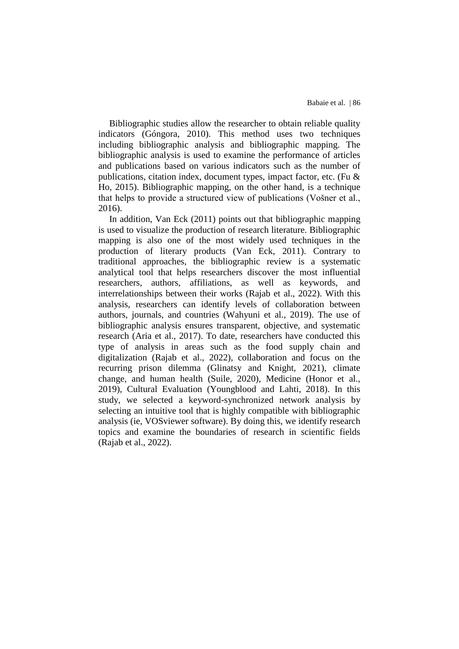Bibliographic studies allow the researcher to obtain reliable quality indicators (Góngora, 2010). This method uses two techniques including bibliographic analysis and bibliographic mapping. The bibliographic analysis is used to examine the performance of articles and publications based on various indicators such as the number of publications, citation index, document types, impact factor, etc. (Fu & Ho, 2015). Bibliographic mapping, on the other hand, is a technique that helps to provide a structured view of publications (Vošner et al., 2016).

In addition, Van Eck (2011) points out that bibliographic mapping is used to visualize the production of research literature. Bibliographic mapping is also one of the most widely used techniques in the production of literary products (Van Eck, 2011). Contrary to traditional approaches, the bibliographic review is a systematic analytical tool that helps researchers discover the most influential researchers, authors, affiliations, as well as keywords, and interrelationships between their works (Rajab et al., 2022). With this analysis, researchers can identify levels of collaboration between authors, journals, and countries (Wahyuni et al., 2019). The use of bibliographic analysis ensures transparent, objective, and systematic research (Aria et al., 2017). To date, researchers have conducted this type of analysis in areas such as the food supply chain and digitalization (Rajab et al., 2022), collaboration and focus on the recurring prison dilemma (Glinatsy and Knight, 2021), climate change, and human health (Suile, 2020), Medicine (Honor et al., 2019), Cultural Evaluation (Youngblood and Lahti, 2018). In this study, we selected a keyword-synchronized network analysis by selecting an intuitive tool that is highly compatible with bibliographic analysis (ie, VOSviewer software). By doing this, we identify research topics and examine the boundaries of research in scientific fields (Rajab et al., 2022).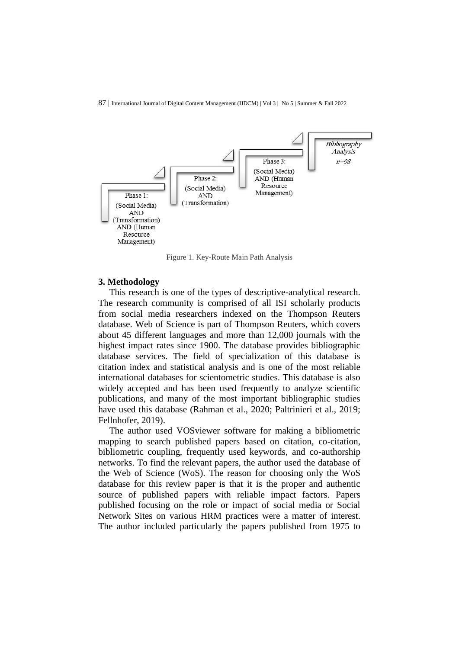

Figure 1. Key-Route Main Path Analysis

## **3. Methodology**

This research is one of the types of descriptive-analytical research. The research community is comprised of all ISI scholarly products from social media researchers indexed on the Thompson Reuters database. Web of Science is part of Thompson Reuters, which covers about 45 different languages and more than 12,000 journals with the highest impact rates since 1900. The database provides bibliographic database services. The field of specialization of this database is citation index and statistical analysis and is one of the most reliable international databases for scientometric studies. This database is also widely accepted and has been used frequently to analyze scientific publications, and many of the most important bibliographic studies have used this database (Rahman et al., 2020; Paltrinieri et al., 2019; Fellnhofer, 2019).

The author used VOSviewer software for making a bibliometric mapping to search published papers based on citation, co-citation, bibliometric coupling, frequently used keywords, and co-authorship networks. To find the relevant papers, the author used the database of the Web of Science (WoS). The reason for choosing only the WoS database for this review paper is that it is the proper and authentic source of published papers with reliable impact factors. Papers published focusing on the role or impact of social media or Social Network Sites on various HRM practices were a matter of interest. The author included particularly the papers published from 1975 to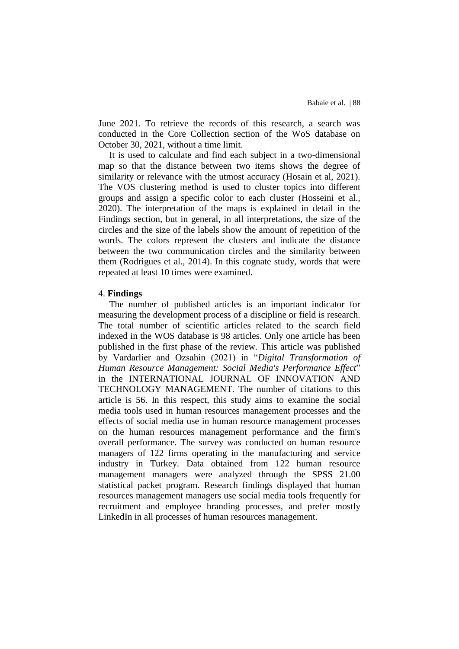June 2021. To retrieve the records of this research, a search was conducted in the Core Collection section of the WoS database on October 30, 2021, without a time limit.

It is used to calculate and find each subject in a two-dimensional map so that the distance between two items shows the degree of similarity or relevance with the utmost accuracy (Hosain et al, 2021). The VOS clustering method is used to cluster topics into different groups and assign a specific color to each cluster (Hosseini et al., 2020). The interpretation of the maps is explained in detail in the Findings section, but in general, in all interpretations, the size of the circles and the size of the labels show the amount of repetition of the words. The colors represent the clusters and indicate the distance between the two communication circles and the similarity between them (Rodrigues et al., 2014). In this cognate study, words that were repeated at least 10 times were examined.

#### 4. **Findings**

The number of published articles is an important indicator for measuring the development process of a discipline or field is research. The total number of scientific articles related to the search field indexed in the WOS database is 98 articles. Only one article has been published in the first phase of the review. This article was published by Vardarlier and Ozsahin (2021) in "*Digital Transformation of Human Resource Management: Social Media's Performance Effect*" in the INTERNATIONAL JOURNAL OF INNOVATION AND TECHNOLOGY MANAGEMENT. The number of citations to this article is 56. In this respect, this study aims to examine the social media tools used in human resources management processes and the effects of social media use in human resource management processes on the human resources management performance and the firm's overall performance. The survey was conducted on human resource managers of 122 firms operating in the manufacturing and service industry in Turkey. Data obtained from 122 human resource management managers were analyzed through the SPSS 21.00 statistical packet program. Research findings displayed that human resources management managers use social media tools frequently for recruitment and employee branding processes, and prefer mostly LinkedIn in all processes of human resources management.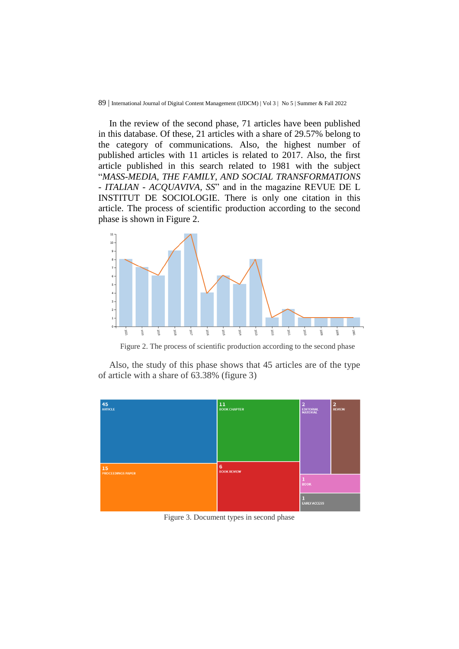In the review of the second phase, 71 articles have been published in this database. Of these, 21 articles with a share of 29.57% belong to the category of communications. Also, the highest number of published articles with 11 articles is related to 2017. Also, the first article published in this search related to 1981 with the subject "*MASS-MEDIA, THE FAMILY, AND SOCIAL TRANSFORMATIONS - ITALIAN - ACQUAVIVA, SS*" and in the magazine REVUE DE L INSTITUT DE SOCIOLOGIE. There is only one citation in this article. The process of scientific production according to the second phase is shown in Figure 2.



Figure 2. The process of scientific production according to the second phase

Also, the study of this phase shows that 45 articles are of the type of article with a share of 63.38% (figure 3)



Figure 3. Document types in second phase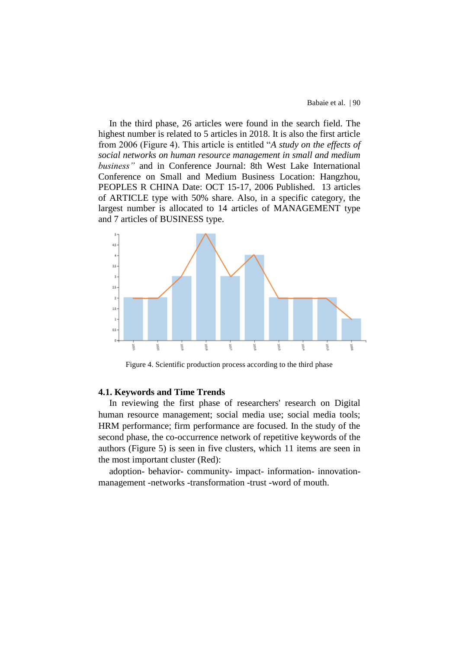In the third phase, 26 articles were found in the search field. The highest number is related to 5 articles in 2018. It is also the first article from 2006 (Figure 4). This article is entitled "*A study on the effects of social networks on human resource management in small and medium business"* and in Conference Journal: 8th West Lake International Conference on Small and Medium Business Location: Hangzhou, PEOPLES R CHINA Date: OCT 15-17, 2006 Published. 13 articles of ARTICLE type with 50% share. Also, in a specific category, the largest number is allocated to 14 articles of MANAGEMENT type and 7 articles of BUSINESS type.



Figure 4. Scientific production process according to the third phase

#### **4.1. Keywords and Time Trends**

In reviewing the first phase of researchers' research on Digital human resource management; social media use; social media tools; HRM performance; firm performance are focused. In the study of the second phase, the co-occurrence network of repetitive keywords of the authors (Figure 5) is seen in five clusters, which 11 items are seen in the most important cluster (Red):

adoption- behavior- community- impact- information- innovationmanagement -networks -transformation -trust -word of mouth.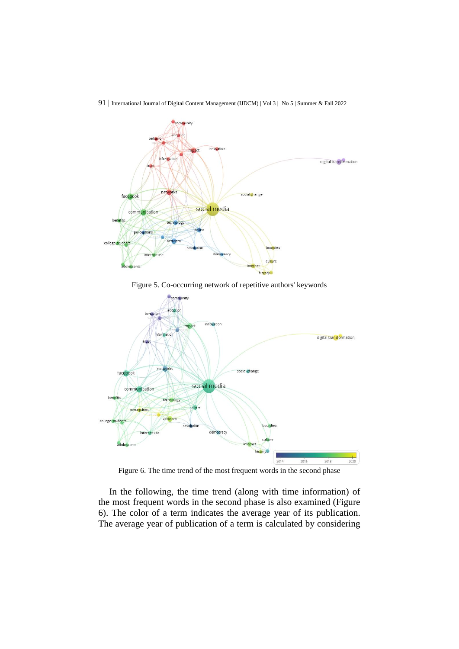

Figure 5. Co-occurring network of repetitive authors' keywords



Figure 6. The time trend of the most frequent words in the second phase

In the following, the time trend (along with time information) of the most frequent words in the second phase is also examined (Figure 6). The color of a term indicates the average year of its publication. The average year of publication of a term is calculated by considering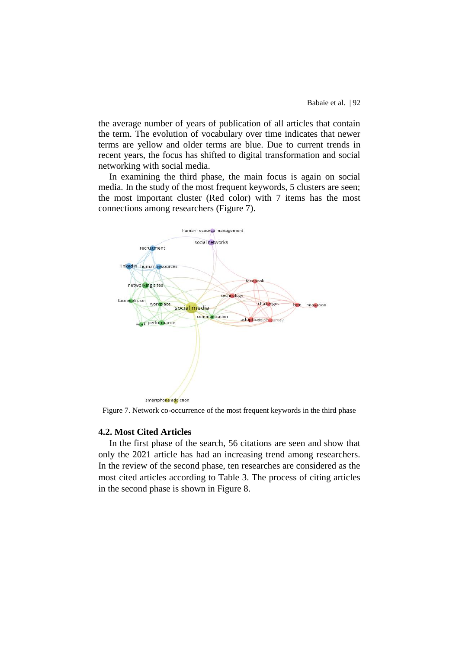the average number of years of publication of all articles that contain the term. The evolution of vocabulary over time indicates that newer terms are yellow and older terms are blue. Due to current trends in recent years, the focus has shifted to digital transformation and social networking with social media.

In examining the third phase, the main focus is again on social media. In the study of the most frequent keywords, 5 clusters are seen; the most important cluster (Red color) with 7 items has the most connections among researchers (Figure 7).



Figure 7. Network co-occurrence of the most frequent keywords in the third phase

## **4.2. Most Cited Articles**

In the first phase of the search, 56 citations are seen and show that only the 2021 article has had an increasing trend among researchers. In the review of the second phase, ten researches are considered as the most cited articles according to Table 3. The process of citing articles in the second phase is shown in Figure 8.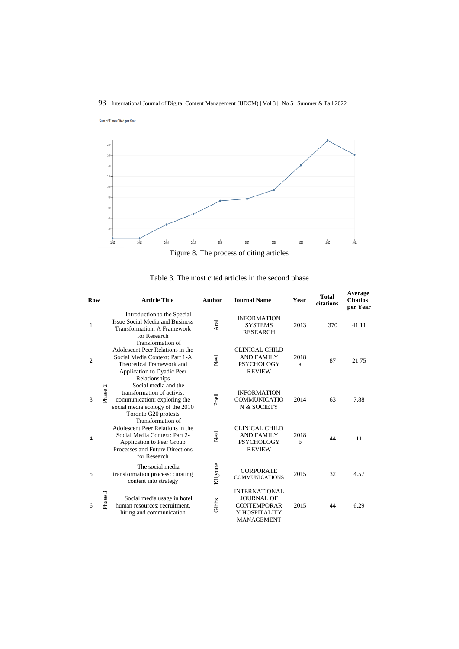Sum of Times Cited per Year



Figure 8. The process of citing articles

| Row            | <b>Article Title</b>                                                                                                                                                   | Author   | <b>Journal Name</b>                                                                            | Year                | <b>Total</b><br>citations | Average<br><b>Citatios</b><br>per Year |
|----------------|------------------------------------------------------------------------------------------------------------------------------------------------------------------------|----------|------------------------------------------------------------------------------------------------|---------------------|---------------------------|----------------------------------------|
| 1              | Introduction to the Special<br><b>Issue Social Media and Business</b><br><b>Transformation: A Framework</b><br>for Research                                            | Aral     | <b>INFORMATION</b><br><b>SYSTEMS</b><br><b>RESEARCH</b>                                        | 2013                | 370                       | 41.11                                  |
| $\overline{c}$ | Transformation of<br>Adolescent Peer Relations in the<br>Social Media Context: Part 1-A<br>Theoretical Framework and<br>Application to Dyadic Peer<br>Relationships    | Nesi     | <b>CLINICAL CHILD</b><br><b>AND FAMILY</b><br><b>PSYCHOLOGY</b><br><b>REVIEW</b>               | 2018<br>a           | 87                        | 21.75                                  |
| Phase 2<br>3   | Social media and the<br>transformation of activist<br>communication: exploring the<br>social media ecology of the 2010<br>Toronto G20 protests                         | Poell    | <b>INFORMATION</b><br><b>COMMUNICATIO</b><br>N & SOCIETY                                       | 2014                | 63                        | 7.88                                   |
| 4              | Transformation of<br>Adolescent Peer Relations in the<br>Social Media Context: Part 2-<br>Application to Peer Group<br>Processes and Future Directions<br>for Research | Nesi     | <b>CLINICAL CHILD</b><br><b>AND FAMILY</b><br><b>PSYCHOLOGY</b><br><b>REVIEW</b>               | 2018<br>$\mathbf b$ | 44                        | 11                                     |
| 5              | The social media<br>transformation process: curating<br>content into strategy                                                                                          | Kilgoure | <b>CORPORATE</b><br><b>COMMUNICATIONS</b>                                                      | 2015                | 32                        | 4.57                                   |
| 3<br>6         | Phase<br>Social media usage in hotel<br>human resources: recruitment,<br>hiring and communication                                                                      | Gibbs    | <b>INTERNATIONAL</b><br><b>JOURNAL OF</b><br><b>CONTEMPORAR</b><br>Y HOSPITALITY<br>MANAGEMENT | 2015                | 44                        | 6.29                                   |

Table 3. The most cited articles in the second phase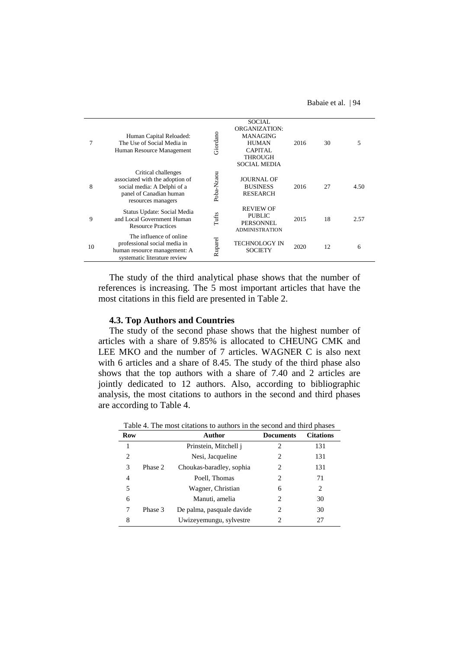Babaie et al. | 94

|    | Human Capital Reloaded:<br>The Use of Social Media in<br>Human Resource Management                                                     | Giordano   | <b>SOCIAL</b><br>ORGANIZATION:<br>MANAGING<br><b>HUMAN</b><br>CAPITAL<br><b>THROUGH</b><br><b>SOCIAL MEDIA</b> | 2016 | 30 | 5    |
|----|----------------------------------------------------------------------------------------------------------------------------------------|------------|----------------------------------------------------------------------------------------------------------------|------|----|------|
| 8  | Critical challenges<br>associated with the adoption of<br>social media: A Delphi of a<br>panel of Canadian human<br>resources managers | Poba-Nzaou | <b>JOURNAL OF</b><br><b>BUSINESS</b><br><b>RESEARCH</b>                                                        | 2016 | 27 | 4.50 |
| 9  | Status Update: Social Media<br>and Local Government Human<br><b>Resource Practices</b>                                                 | Tufts      | <b>REVIEW OF</b><br><b>PUBLIC</b><br>PERSONNEL<br><b>ADMINISTRATION</b>                                        | 2015 | 18 | 2.57 |
| 10 | The influence of online<br>professional social media in<br>human resource management: A<br>systematic literature review                | Ruparel    | <b>TECHNOLOGY IN</b><br><b>SOCIETY</b>                                                                         | 2020 | 12 | 6    |

The study of the third analytical phase shows that the number of references is increasing. The 5 most important articles that have the most citations in this field are presented in Table 2.

#### **4.3. Top Authors and Countries**

The study of the second phase shows that the highest number of articles with a share of 9.85% is allocated to CHEUNG CMK and LEE MKO and the number of 7 articles. WAGNER C is also next with 6 articles and a share of 8.45. The study of the third phase also shows that the top authors with a share of 7.40 and 2 articles are jointly dedicated to 12 authors. Also, according to bibliographic analysis, the most citations to authors in the second and third phases are according to Table 4.

| Row |         | Author                    | <b>Documents</b> | <b>Citations</b> |
|-----|---------|---------------------------|------------------|------------------|
|     |         | Prinstein, Mitchell j     | 2                | 131              |
| 2   |         | Nesi, Jacqueline          | 2                | 131              |
| 3   | Phase 2 | Choukas-baradley, sophia  | 2                | 131              |
| 4   |         | Poell, Thomas             | 2                | 71               |
| 5   |         | Wagner, Christian         | 6                | 2                |
| 6   |         | Manuti, amelia            | 2                | 30               |
|     | Phase 3 | De palma, pasquale davide | 2                | 30               |
| 8   |         | Uwizeyemungu, sylvestre   | 2                | 27               |

Table 4. The most citations to authors in the second and third phases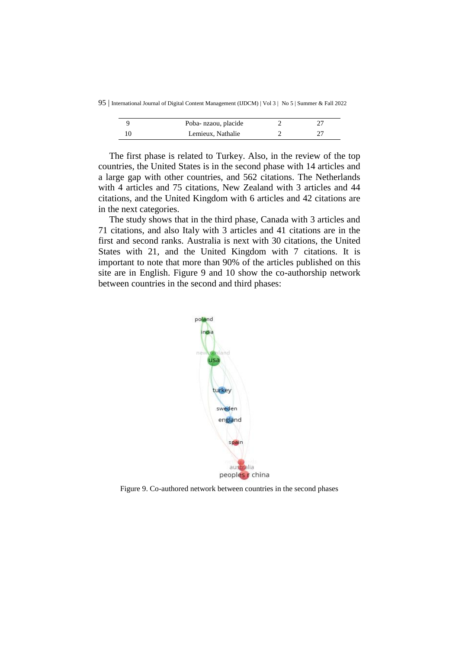95 | International Journal of Digital Content Management (IJDCM) | Vol 3 | No 5 | Summer & Fall 2022

| Poba- nzaou, placide |  |
|----------------------|--|
| Lemieux, Nathalie    |  |

The first phase is related to Turkey. Also, in the review of the top countries, the United States is in the second phase with 14 articles and a large gap with other countries, and 562 citations. The Netherlands with 4 articles and 75 citations, New Zealand with 3 articles and 44 citations, and the United Kingdom with 6 articles and 42 citations are in the next categories.

The study shows that in the third phase, Canada with 3 articles and 71 citations, and also Italy with 3 articles and 41 citations are in the first and second ranks. Australia is next with 30 citations, the United States with 21, and the United Kingdom with 7 citations. It is important to note that more than 90% of the articles published on this site are in English. Figure 9 and 10 show the co-authorship network between countries in the second and third phases:



Figure 9. Co-authored network between countries in the second phases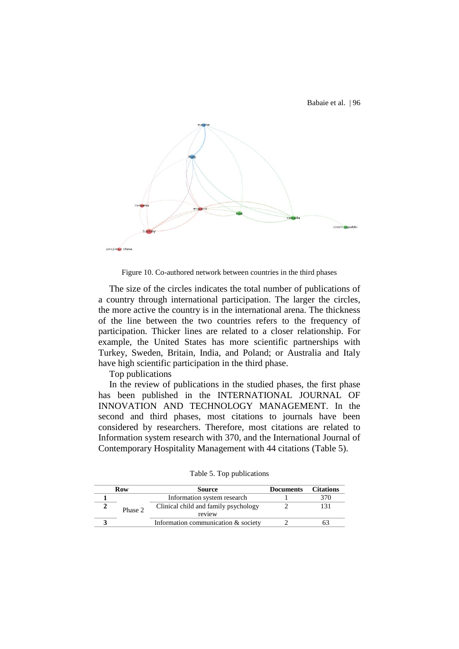Babaie et al. | 96



Figure 10. Co-authored network between countries in the third phases

The size of the circles indicates the total number of publications of a country through international participation. The larger the circles, the more active the country is in the international arena. The thickness of the line between the two countries refers to the frequency of participation. Thicker lines are related to a closer relationship. For example, the United States has more scientific partnerships with Turkey, Sweden, Britain, India, and Poland; or Australia and Italy have high scientific participation in the third phase.

Top publications

In the review of publications in the studied phases, the first phase has been published in the INTERNATIONAL JOURNAL OF INNOVATION AND TECHNOLOGY MANAGEMENT. In the second and third phases, most citations to journals have been considered by researchers. Therefore, most citations are related to Information system research with 370, and the International Journal of Contemporary Hospitality Management with 44 citations (Table 5).

| Row     | Source                                         | <b>Documents</b> | <b>Citations</b> |
|---------|------------------------------------------------|------------------|------------------|
|         | Information system research                    |                  |                  |
| Phase 2 | Clinical child and family psychology<br>review |                  |                  |
|         | Information communication & society            |                  |                  |

Table 5. Top publications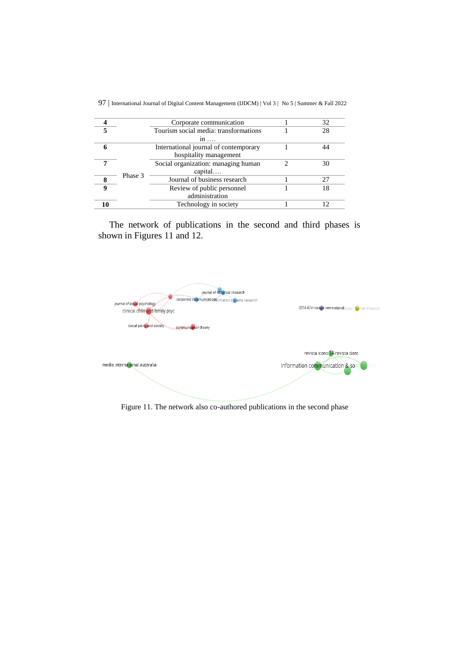|          |         | Corporate communication               | 32 |
|----------|---------|---------------------------------------|----|
|          |         | Tourism social media: transformations | 28 |
|          |         | $1n$                                  |    |
|          |         | International journal of contemporary |    |
|          |         | hospitality management                |    |
|          |         | Social organization: managing human   | 30 |
|          |         | capital                               |    |
|          | Phase 3 | Journal of business research          |    |
| $\bf{Q}$ |         | Review of public personnel            | 18 |
|          |         | administration                        |    |
|          |         | Technology in society                 |    |
|          |         |                                       |    |

97 | International Journal of Digital Content Management (IJDCM) | Vol 3 | No 5 | Summer & Fall 2022

The network of publications in the second and third phases is shown in Figures 11 and 12.



Figure 11. The network also co-authored publications in the second phase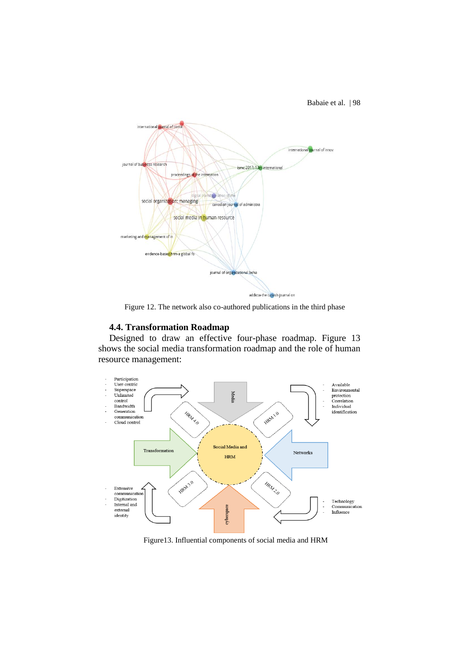Babaie et al. | 98



Figure 12. The network also co-authored publications in the third phase

## **4.4. Transformation Roadmap**

Designed to draw an effective four-phase roadmap. Figure 13 shows the social media transformation roadmap and the role of human resource management:



Figure13. Influential components of social media and HRM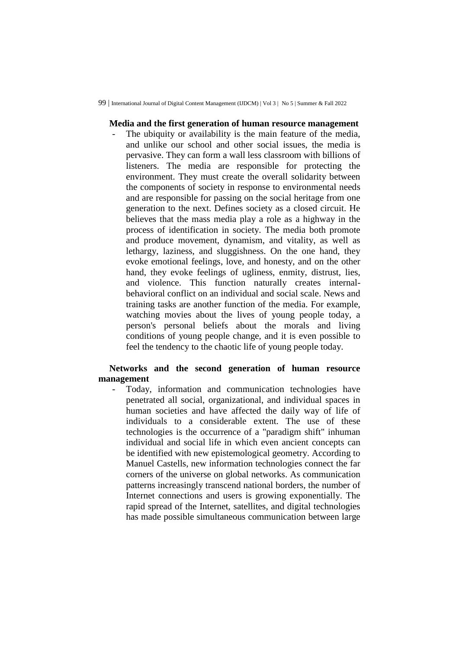## **Media and the first generation of human resource management**

The ubiquity or availability is the main feature of the media, and unlike our school and other social issues, the media is pervasive. They can form a wall less classroom with billions of listeners. The media are responsible for protecting the environment. They must create the overall solidarity between the components of society in response to environmental needs and are responsible for passing on the social heritage from one generation to the next. Defines society as a closed circuit. He believes that the mass media play a role as a highway in the process of identification in society. The media both promote and produce movement, dynamism, and vitality, as well as lethargy, laziness, and sluggishness. On the one hand, they evoke emotional feelings, love, and honesty, and on the other hand, they evoke feelings of ugliness, enmity, distrust, lies, and violence. This function naturally creates internalbehavioral conflict on an individual and social scale. News and training tasks are another function of the media. For example, watching movies about the lives of young people today, a person's personal beliefs about the morals and living conditions of young people change, and it is even possible to feel the tendency to the chaotic life of young people today.

# **Networks and the second generation of human resource management**

Today, information and communication technologies have penetrated all social, organizational, and individual spaces in human societies and have affected the daily way of life of individuals to a considerable extent. The use of these technologies is the occurrence of a "paradigm shift" inhuman individual and social life in which even ancient concepts can be identified with new epistemological geometry. According to Manuel Castells, new information technologies connect the far corners of the universe on global networks. As communication patterns increasingly transcend national borders, the number of Internet connections and users is growing exponentially. The rapid spread of the Internet, satellites, and digital technologies has made possible simultaneous communication between large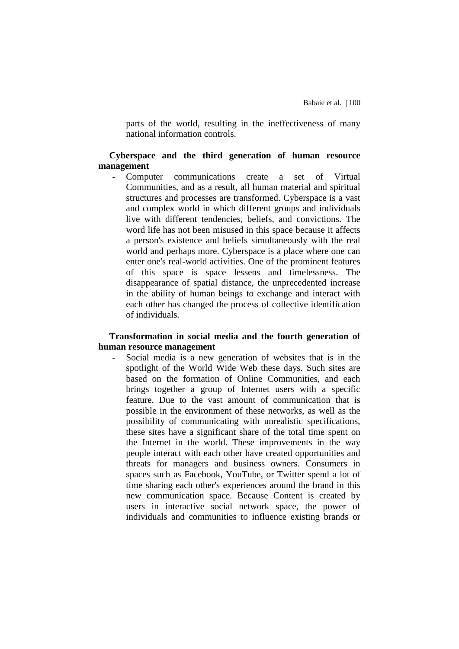parts of the world, resulting in the ineffectiveness of many national information controls.

## **Cyberspace and the third generation of human resource management**

Computer communications create a set of Virtual Communities, and as a result, all human material and spiritual structures and processes are transformed. Cyberspace is a vast and complex world in which different groups and individuals live with different tendencies, beliefs, and convictions. The word life has not been misused in this space because it affects a person's existence and beliefs simultaneously with the real world and perhaps more. Cyberspace is a place where one can enter one's real-world activities. One of the prominent features of this space is space lessens and timelessness. The disappearance of spatial distance, the unprecedented increase in the ability of human beings to exchange and interact with each other has changed the process of collective identification of individuals.

## **Transformation in social media and the fourth generation of human resource management**

Social media is a new generation of websites that is in the spotlight of the World Wide Web these days. Such sites are based on the formation of Online Communities, and each brings together a group of Internet users with a specific feature. Due to the vast amount of communication that is possible in the environment of these networks, as well as the possibility of communicating with unrealistic specifications, these sites have a significant share of the total time spent on the Internet in the world. These improvements in the way people interact with each other have created opportunities and threats for managers and business owners. Consumers in spaces such as Facebook, YouTube, or Twitter spend a lot of time sharing each other's experiences around the brand in this new communication space. Because Content is created by users in interactive social network space, the power of individuals and communities to influence existing brands or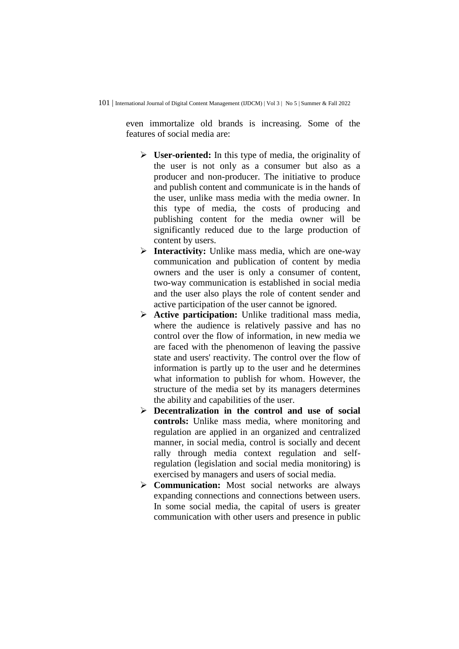even immortalize old brands is increasing. Some of the features of social media are:

- **User-oriented:** In this type of media, the originality of the user is not only as a consumer but also as a producer and non-producer. The initiative to produce and publish content and communicate is in the hands of the user, unlike mass media with the media owner. In this type of media, the costs of producing and publishing content for the media owner will be significantly reduced due to the large production of content by users.
- **Interactivity:** Unlike mass media, which are one-way communication and publication of content by media owners and the user is only a consumer of content, two-way communication is established in social media and the user also plays the role of content sender and active participation of the user cannot be ignored.
- **Active participation:** Unlike traditional mass media, where the audience is relatively passive and has no control over the flow of information, in new media we are faced with the phenomenon of leaving the passive state and users' reactivity. The control over the flow of information is partly up to the user and he determines what information to publish for whom. However, the structure of the media set by its managers determines the ability and capabilities of the user.
- **Decentralization in the control and use of social controls:** Unlike mass media, where monitoring and regulation are applied in an organized and centralized manner, in social media, control is socially and decent rally through media context regulation and selfregulation (legislation and social media monitoring) is exercised by managers and users of social media.
- **Communication:** Most social networks are always expanding connections and connections between users. In some social media, the capital of users is greater communication with other users and presence in public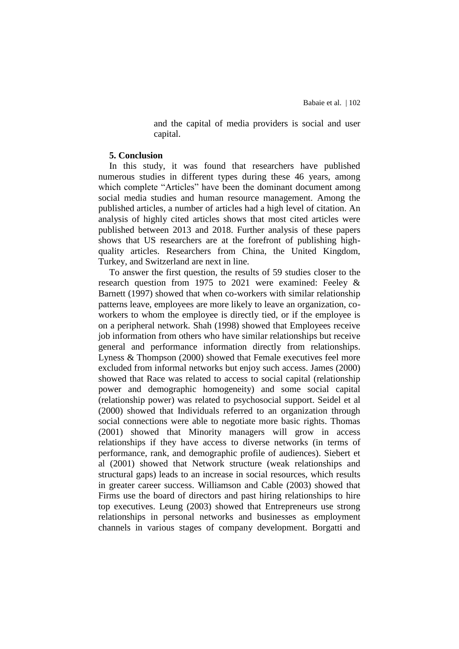and the capital of media providers is social and user capital.

#### **5. Conclusion**

In this study, it was found that researchers have published numerous studies in different types during these 46 years, among which complete "Articles" have been the dominant document among social media studies and human resource management. Among the published articles, a number of articles had a high level of citation. An analysis of highly cited articles shows that most cited articles were published between 2013 and 2018. Further analysis of these papers shows that US researchers are at the forefront of publishing highquality articles. Researchers from China, the United Kingdom, Turkey, and Switzerland are next in line.

To answer the first question, the results of 59 studies closer to the research question from 1975 to 2021 were examined: Feeley & Barnett (1997) showed that when co-workers with similar relationship patterns leave, employees are more likely to leave an organization, coworkers to whom the employee is directly tied, or if the employee is on a peripheral network. Shah (1998) showed that Employees receive job information from others who have similar relationships but receive general and performance information directly from relationships. Lyness & Thompson (2000) showed that Female executives feel more excluded from informal networks but enjoy such access. James (2000) showed that Race was related to access to social capital (relationship power and demographic homogeneity) and some social capital (relationship power) was related to psychosocial support. Seidel et al (2000) showed that Individuals referred to an organization through social connections were able to negotiate more basic rights. Thomas (2001) showed that Minority managers will grow in access relationships if they have access to diverse networks (in terms of performance, rank, and demographic profile of audiences). Siebert et al (2001) showed that Network structure (weak relationships and structural gaps) leads to an increase in social resources, which results in greater career success. Williamson and Cable (2003) showed that Firms use the board of directors and past hiring relationships to hire top executives. Leung (2003) showed that Entrepreneurs use strong relationships in personal networks and businesses as employment channels in various stages of company development. Borgatti and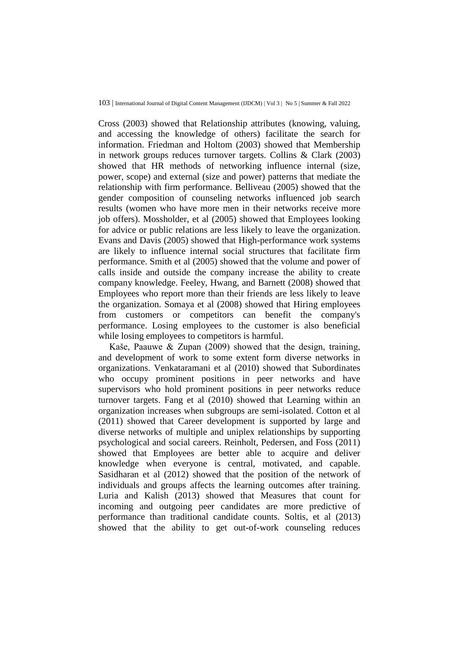Cross (2003) showed that Relationship attributes (knowing, valuing, and accessing the knowledge of others) facilitate the search for information. Friedman and Holtom (2003) showed that Membership in network groups reduces turnover targets. Collins & Clark (2003) showed that HR methods of networking influence internal (size, power, scope) and external (size and power) patterns that mediate the relationship with firm performance. Belliveau (2005) showed that the gender composition of counseling networks influenced job search results (women who have more men in their networks receive more job offers). Mossholder, et al (2005) showed that Employees looking for advice or public relations are less likely to leave the organization. Evans and Davis (2005) showed that High-performance work systems are likely to influence internal social structures that facilitate firm performance. Smith et al (2005) showed that the volume and power of calls inside and outside the company increase the ability to create company knowledge. Feeley, Hwang, and Barnett (2008) showed that Employees who report more than their friends are less likely to leave the organization. Somaya et al (2008) showed that Hiring employees from customers or competitors can benefit the company's performance. Losing employees to the customer is also beneficial while losing employees to competitors is harmful.

Kaše, Paauwe & Zupan (2009) showed that the design, training, and development of work to some extent form diverse networks in organizations. Venkataramani et al (2010) showed that Subordinates who occupy prominent positions in peer networks and have supervisors who hold prominent positions in peer networks reduce turnover targets. Fang et al (2010) showed that Learning within an organization increases when subgroups are semi-isolated. Cotton et al (2011) showed that Career development is supported by large and diverse networks of multiple and uniplex relationships by supporting psychological and social careers. Reinholt, Pedersen, and Foss (2011) showed that Employees are better able to acquire and deliver knowledge when everyone is central, motivated, and capable. Sasidharan et al (2012) showed that the position of the network of individuals and groups affects the learning outcomes after training. Luria and Kalish (2013) showed that Measures that count for incoming and outgoing peer candidates are more predictive of performance than traditional candidate counts. Soltis, et al (2013) showed that the ability to get out-of-work counseling reduces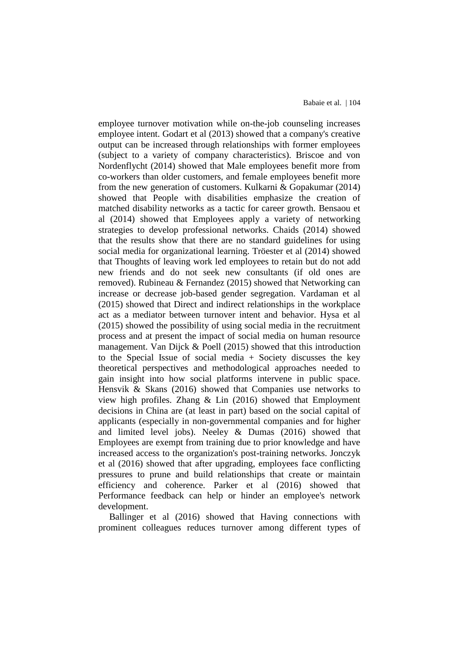employee turnover motivation while on-the-job counseling increases employee intent. Godart et al (2013) showed that a company's creative output can be increased through relationships with former employees (subject to a variety of company characteristics). Briscoe and von Nordenflycht (2014) showed that Male employees benefit more from co-workers than older customers, and female employees benefit more from the new generation of customers. Kulkarni & Gopakumar (2014) showed that People with disabilities emphasize the creation of matched disability networks as a tactic for career growth. Bensaou et al (2014) showed that Employees apply a variety of networking strategies to develop professional networks. Chaids (2014) showed that the results show that there are no standard guidelines for using social media for organizational learning. Tröester et al (2014) showed that Thoughts of leaving work led employees to retain but do not add new friends and do not seek new consultants (if old ones are removed). Rubineau & Fernandez (2015) showed that Networking can increase or decrease job-based gender segregation. Vardaman et al (2015) showed that Direct and indirect relationships in the workplace act as a mediator between turnover intent and behavior. Hysa et al (2015) showed the possibility of using social media in the recruitment process and at present the impact of social media on human resource management. Van Dijck & Poell (2015) showed that this introduction to the Special Issue of social media + Society discusses the key theoretical perspectives and methodological approaches needed to gain insight into how social platforms intervene in public space. Hensvik & Skans (2016) showed that Companies use networks to view high profiles. Zhang & Lin (2016) showed that Employment decisions in China are (at least in part) based on the social capital of applicants (especially in non-governmental companies and for higher and limited level jobs). Neeley & Dumas (2016) showed that Employees are exempt from training due to prior knowledge and have increased access to the organization's post-training networks. Jonczyk et al (2016) showed that after upgrading, employees face conflicting pressures to prune and build relationships that create or maintain efficiency and coherence. Parker et al (2016) showed that Performance feedback can help or hinder an employee's network development.

Ballinger et al (2016) showed that Having connections with prominent colleagues reduces turnover among different types of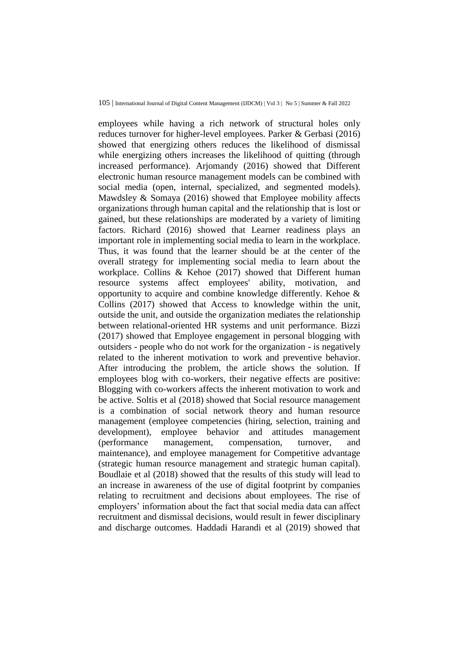employees while having a rich network of structural holes only reduces turnover for higher-level employees. Parker & Gerbasi (2016) showed that energizing others reduces the likelihood of dismissal while energizing others increases the likelihood of quitting (through increased performance). Ariomandy (2016) showed that Different electronic human resource management models can be combined with social media (open, internal, specialized, and segmented models). Mawdsley & Somaya (2016) showed that Employee mobility affects organizations through human capital and the relationship that is lost or gained, but these relationships are moderated by a variety of limiting factors. Richard (2016) showed that Learner readiness plays an important role in implementing social media to learn in the workplace. Thus, it was found that the learner should be at the center of the overall strategy for implementing social media to learn about the workplace. Collins & Kehoe (2017) showed that Different human resource systems affect employees' ability, motivation, and opportunity to acquire and combine knowledge differently. Kehoe & Collins (2017) showed that Access to knowledge within the unit, outside the unit, and outside the organization mediates the relationship between relational-oriented HR systems and unit performance. Bizzi (2017) showed that Employee engagement in personal blogging with outsiders - people who do not work for the organization - is negatively related to the inherent motivation to work and preventive behavior. After introducing the problem, the article shows the solution. If employees blog with co-workers, their negative effects are positive: Blogging with co-workers affects the inherent motivation to work and be active. Soltis et al (2018) showed that Social resource management is a combination of social network theory and human resource management (employee competencies (hiring, selection, training and development), employee behavior and attitudes management (performance management, compensation, turnover, and maintenance), and employee management for Competitive advantage (strategic human resource management and strategic human capital). Boudlaie et al (2018) showed that the results of this study will lead to an increase in awareness of the use of digital footprint by companies relating to recruitment and decisions about employees. The rise of employers' information about the fact that social media data can affect recruitment and dismissal decisions, would result in fewer disciplinary and discharge outcomes. Haddadi Harandi et al (2019) showed that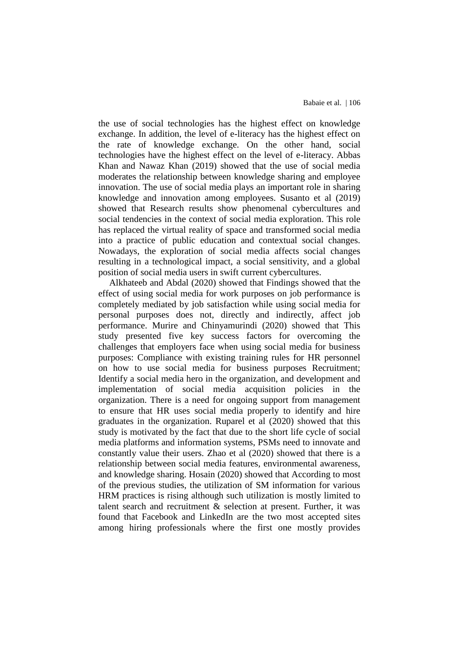the use of social technologies has the highest effect on knowledge exchange. In addition, the level of e-literacy has the highest effect on the rate of knowledge exchange. On the other hand, social technologies have the highest effect on the level of e-literacy. Abbas Khan and Nawaz Khan (2019) showed that the use of social media moderates the relationship between knowledge sharing and employee innovation. The use of social media plays an important role in sharing knowledge and innovation among employees. Susanto et al (2019) showed that Research results show phenomenal cybercultures and social tendencies in the context of social media exploration. This role has replaced the virtual reality of space and transformed social media into a practice of public education and contextual social changes. Nowadays, the exploration of social media affects social changes resulting in a technological impact, a social sensitivity, and a global position of social media users in swift current cybercultures.

Alkhateeb and Abdal (2020) showed that Findings showed that the effect of using social media for work purposes on job performance is completely mediated by job satisfaction while using social media for personal purposes does not, directly and indirectly, affect job performance. Murire and Chinyamurindi (2020) showed that This study presented five key success factors for overcoming the challenges that employers face when using social media for business purposes: Compliance with existing training rules for HR personnel on how to use social media for business purposes Recruitment; Identify a social media hero in the organization, and development and implementation of social media acquisition policies in the organization. There is a need for ongoing support from management to ensure that HR uses social media properly to identify and hire graduates in the organization. Ruparel et al (2020) showed that this study is motivated by the fact that due to the short life cycle of social media platforms and information systems, PSMs need to innovate and constantly value their users. Zhao et al (2020) showed that there is a relationship between social media features, environmental awareness, and knowledge sharing. Hosain (2020) showed that According to most of the previous studies, the utilization of SM information for various HRM practices is rising although such utilization is mostly limited to talent search and recruitment & selection at present. Further, it was found that Facebook and LinkedIn are the two most accepted sites among hiring professionals where the first one mostly provides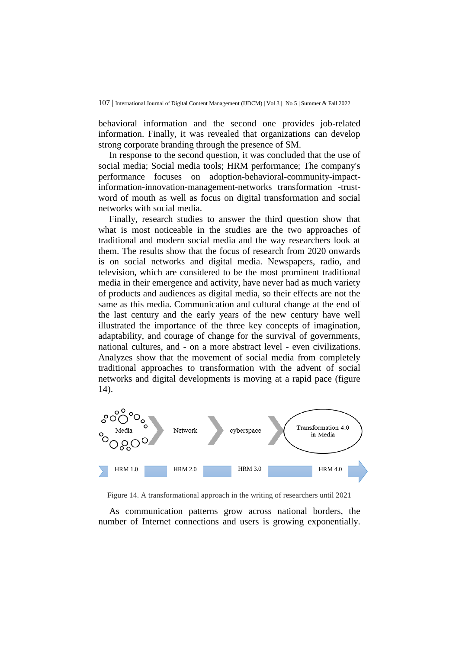behavioral information and the second one provides job-related information. Finally, it was revealed that organizations can develop strong corporate branding through the presence of SM.

In response to the second question, it was concluded that the use of social media; Social media tools; HRM performance; The company's performance focuses on adoption-behavioral-community-impactinformation-innovation-management-networks transformation -trustword of mouth as well as focus on digital transformation and social networks with social media.

Finally, research studies to answer the third question show that what is most noticeable in the studies are the two approaches of traditional and modern social media and the way researchers look at them. The results show that the focus of research from 2020 onwards is on social networks and digital media. Newspapers, radio, and television, which are considered to be the most prominent traditional media in their emergence and activity, have never had as much variety of products and audiences as digital media, so their effects are not the same as this media. Communication and cultural change at the end of the last century and the early years of the new century have well illustrated the importance of the three key concepts of imagination, adaptability, and courage of change for the survival of governments, national cultures, and - on a more abstract level - even civilizations. Analyzes show that the movement of social media from completely traditional approaches to transformation with the advent of social networks and digital developments is moving at a rapid pace (figure 14).



Figure 14. A transformational approach in the writing of researchers until 2021

As communication patterns grow across national borders, the number of Internet connections and users is growing exponentially.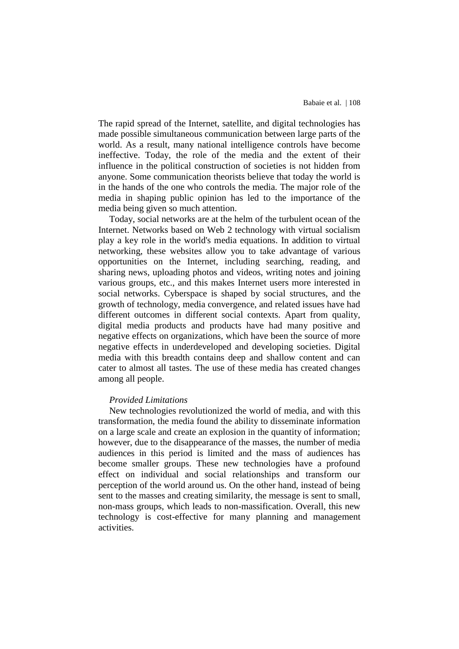The rapid spread of the Internet, satellite, and digital technologies has made possible simultaneous communication between large parts of the world. As a result, many national intelligence controls have become ineffective. Today, the role of the media and the extent of their influence in the political construction of societies is not hidden from anyone. Some communication theorists believe that today the world is in the hands of the one who controls the media. The major role of the media in shaping public opinion has led to the importance of the media being given so much attention.

Today, social networks are at the helm of the turbulent ocean of the Internet. Networks based on Web 2 technology with virtual socialism play a key role in the world's media equations. In addition to virtual networking, these websites allow you to take advantage of various opportunities on the Internet, including searching, reading, and sharing news, uploading photos and videos, writing notes and joining various groups, etc., and this makes Internet users more interested in social networks. Cyberspace is shaped by social structures, and the growth of technology, media convergence, and related issues have had different outcomes in different social contexts. Apart from quality, digital media products and products have had many positive and negative effects on organizations, which have been the source of more negative effects in underdeveloped and developing societies. Digital media with this breadth contains deep and shallow content and can cater to almost all tastes. The use of these media has created changes among all people.

#### *Provided Limitations*

New technologies revolutionized the world of media, and with this transformation, the media found the ability to disseminate information on a large scale and create an explosion in the quantity of information; however, due to the disappearance of the masses, the number of media audiences in this period is limited and the mass of audiences has become smaller groups. These new technologies have a profound effect on individual and social relationships and transform our perception of the world around us. On the other hand, instead of being sent to the masses and creating similarity, the message is sent to small, non-mass groups, which leads to non-massification. Overall, this new technology is cost-effective for many planning and management activities.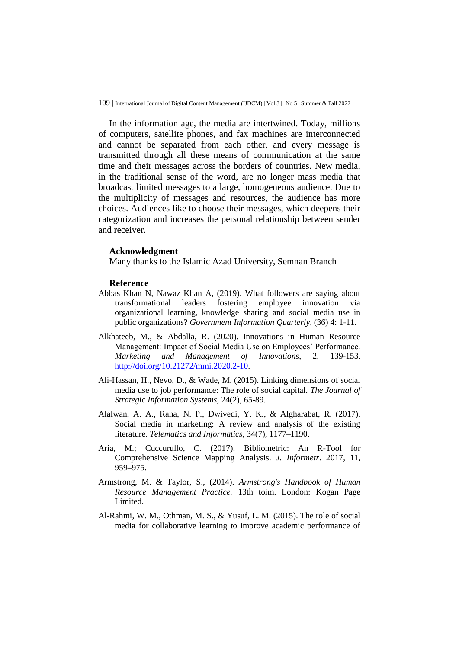In the information age, the media are intertwined. Today, millions of computers, satellite phones, and fax machines are interconnected and cannot be separated from each other, and every message is transmitted through all these means of communication at the same time and their messages across the borders of countries. New media, in the traditional sense of the word, are no longer mass media that broadcast limited messages to a large, homogeneous audience. Due to the multiplicity of messages and resources, the audience has more choices. Audiences like to choose their messages, which deepens their categorization and increases the personal relationship between sender and receiver.

#### **Acknowledgment**

Many thanks to the Islamic Azad University, Semnan Branch

#### **Reference**

- Abbas Khan N, Nawaz Khan A, (2019). What followers are saying about transformational leaders fostering employee innovation via organizational learning, knowledge sharing and social media use in public organizations? *Government Information Quarterly*, (36) 4: 1-11.
- Alkhateeb, M., & Abdalla, R. (2020). Innovations in Human Resource Management: Impact of Social Media Use on Employees' Performance. *Marketing and Management of Innovations*, 2, 139-153. [http://doi.org/10.21272/mmi.2020.2-10.](http://doi.org/10.21272/mmi.2020.2-10)
- Ali-Hassan, H., Nevo, D., & Wade, M. (2015). Linking dimensions of social media use to job performance: The role of social capital. *The Journal of Strategic Information Systems*, 24(2), 65-89.
- Alalwan, A. A., Rana, N. P., Dwivedi, Y. K., & Algharabat, R. (2017). Social media in marketing: A review and analysis of the existing literature. *Telematics and Informatics*, 34(7), 1177–1190.
- Aria, M.; Cuccurullo, C. (2017). Bibliometric: An R-Tool for Comprehensive Science Mapping Analysis. *J. Informetr*. 2017, 11, 959–975.
- Armstrong, M. & Taylor, S., (2014). *Armstrong's Handbook of Human Resource Management Practice.* 13th toim. London: Kogan Page Limited.
- Al-Rahmi, W. M., Othman, M. S., & Yusuf, L. M. (2015). The role of social media for collaborative learning to improve academic performance of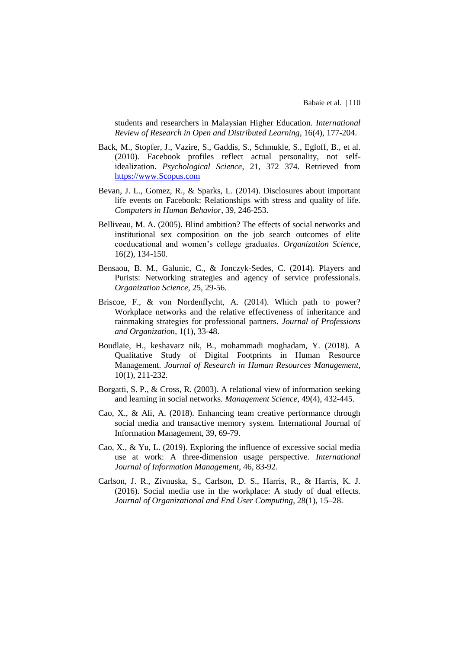students and researchers in Malaysian Higher Education*. International Review of Research in Open and Distributed Learning*, 16(4), 177-204.

- Back, M., Stopfer, J., Vazire, S., Gaddis, S., Schmukle, S., Egloff, B., et al. (2010). Facebook profiles reflect actual personality, not selfidealization. *Psychological Science*, 21, 372 374. Retrieved from [https://www.Scopus.com](https://www.scopus.com/)
- Bevan, J. L., Gomez, R., & Sparks, L. (2014). Disclosures about important life events on Facebook: Relationships with stress and quality of life. *Computers in Human Behavior*, 39, 246-253.
- Belliveau, M. A. (2005). Blind ambition? The effects of social networks and institutional sex composition on the job search outcomes of elite coeducational and women's college graduates. *Organization Science*, 16(2), 134-150.
- Bensaou, B. M., Galunic, C., & Jonczyk-Sedes, C. (2014). Players and Purists: Networking strategies and agency of service professionals. *Organization Science*, 25, 29-56.
- Briscoe, F., & von Nordenflycht, A. (2014). Which path to power? Workplace networks and the relative effectiveness of inheritance and rainmaking strategies for professional partners. *Journal of Professions and Organization*, 1(1), 33-48.
- Boudlaie, H., keshavarz nik, B., mohammadi moghadam, Y. (2018). A Qualitative Study of Digital Footprints in Human Resource Management. *Journal of Research in Human Resources Management*, 10(1), 211-232.
- Borgatti, S. P., & Cross, R. (2003). A relational view of information seeking and learning in social networks. *Management Science*, 49(4), 432-445.
- Cao, X., & Ali, A. (2018). Enhancing team creative performance through social media and transactive memory system. International Journal of Information Management, 39, 69-79.
- Cao, X., & Yu, L. (2019). Exploring the influence of excessive social media use at work: A three-dimension usage perspective. *International Journal of Information Management*, 46, 83-92.
- Carlson, J. R., Zivnuska, S., Carlson, D. S., Harris, R., & Harris, K. J. (2016). Social media use in the workplace: A study of dual effects. *Journal of Organizational and End User Computing*, 28(1), 15–28.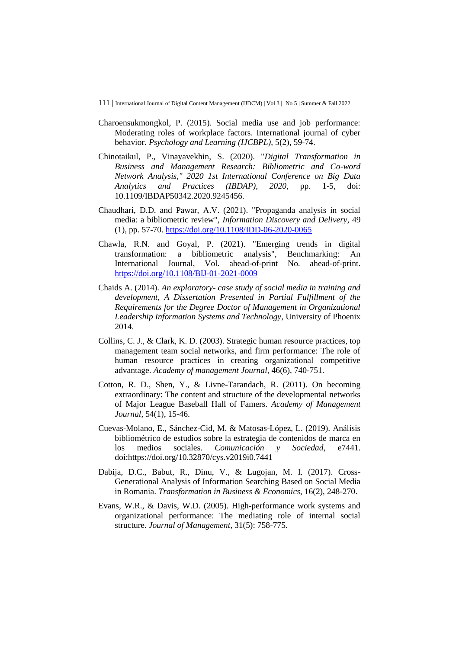- Charoensukmongkol, P. (2015). Social media use and job performance: Moderating roles of workplace factors. International journal of cyber behavior. *Psychology and Learning (IJCBPL)*, 5(2), 59-74.
- Chinotaikul, P., Vinayavekhin, S. (2020). "*Digital Transformation in Business and Management Research: Bibliometric and Co-word Network Analysis," 2020 1st International Conference on Big Data Analytics and Practices (IBDAP), 2020*, pp. 1-5, doi: 10.1109/IBDAP50342.2020.9245456.
- Chaudhari, D.D. and Pawar, A.V. (2021). "Propaganda analysis in social media: a bibliometric review", *Information Discovery and Delivery*, 49 (1), pp. 57-70.<https://doi.org/10.1108/IDD-06-2020-0065>
- Chawla, R.N. and Goyal, P. (2021). "Emerging trends in digital transformation: a bibliometric analysis", Benchmarking: An International Journal, Vol. ahead-of-print No. ahead-of-print. <https://doi.org/10.1108/BIJ-01-2021-0009>
- Chaids A. (2014). *An exploratory- case study of social media in training and development, A Dissertation Presented in Partial Fulfillment of the Requirements for the Degree Doctor of Management in Organizational Leadership Information Systems and Technology*, University of Phoenix 2014.
- Collins, C. J., & Clark, K. D. (2003). Strategic human resource practices, top management team social networks, and firm performance: The role of human resource practices in creating organizational competitive advantage. *Academy of management Journal,* 46(6), 740-751.
- Cotton, R. D., Shen, Y., & Livne-Tarandach, R. (2011). On becoming extraordinary: The content and structure of the developmental networks of Major League Baseball Hall of Famers. *Academy of Management Journal*, 54(1), 15-46.
- Cuevas-Molano, E., Sánchez-Cid, M. & Matosas-López, L. (2019). Análisis bibliométrico de estudios sobre la estrategia de contenidos de marca en los medios sociales. *Comunicación y Sociedad*, e7441. doi:https://doi.org/10.32870/cys.v2019i0.7441
- Dabija, D.C., Babut, R., Dinu, V., & Lugojan, M. I. (2017). Cross-Generational Analysis of Information Searching Based on Social Media in Romania. *Transformation in Business & Economics*, 16(2), 248-270.
- Evans, W.R., & Davis, W.D. (2005). High-performance work systems and organizational performance: The mediating role of internal social structure. *Journal of Management,* 31(5): 758-775.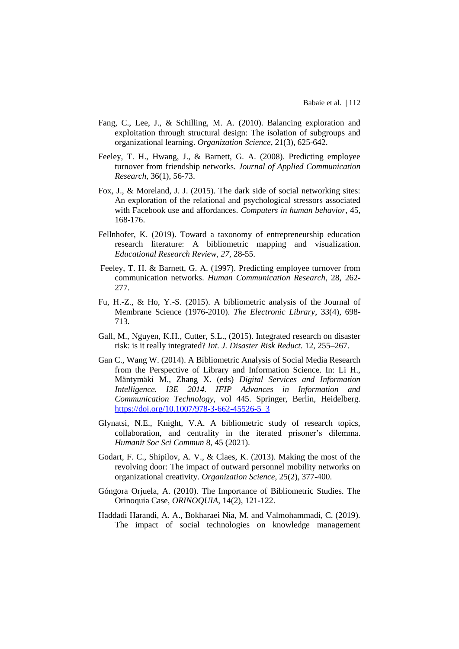- Fang, C., Lee, J., & Schilling, M. A. (2010). Balancing exploration and exploitation through structural design: The isolation of subgroups and organizational learning. *Organization Science*, 21(3), 625-642.
- Feeley, T. H., Hwang, J., & Barnett, G. A. (2008). Predicting employee turnover from friendship networks. *Journal of Applied Communication Research*, 36(1), 56-73.
- Fox, J., & Moreland, J. J. (2015). The dark side of social networking sites: An exploration of the relational and psychological stressors associated with Facebook use and affordances. *Computers in human behavior*, 45, 168-176.
- Fellnhofer, K. (2019). Toward a taxonomy of entrepreneurship education research literature: A bibliometric mapping and visualization. *Educational Research Review*, *27*, 28-55.
- Feeley, T. H. & Barnett, G. A. (1997). Predicting employee turnover from communication networks. *Human Communication Research*, 28, 262- 277.
- Fu, H.-Z., & Ho, Y.-S. (2015). A bibliometric analysis of the Journal of Membrane Science (1976-2010). *The Electronic Library*, 33(4), 698- 713.
- Gall, M., Nguyen, K.H., Cutter, S.L., (2015). Integrated research on disaster risk: is it really integrated? *Int. J. Disaster Risk Reduct*. 12, 255–267.
- Gan C., Wang W. (2014). A Bibliometric Analysis of Social Media Research from the Perspective of Library and Information Science. In: Li H., Mäntymäki M., Zhang X. (eds) *Digital Services and Information Intelligence. I3E 2014. IFIP Advances in Information and Communication Technology*, vol 445. Springer, Berlin, Heidelberg. [https://doi.org/10.1007/978-3-662-45526-5\\_3](https://doi.org/10.1007/978-3-662-45526-5_3)
- Glynatsi, N.E., Knight, V.A. A bibliometric study of research topics, collaboration, and centrality in the iterated prisoner's dilemma. *Humanit Soc Sci Commun* 8, 45 (2021).
- Godart, F. C., Shipilov, A. V., & Claes, K. (2013). Making the most of the revolving door: The impact of outward personnel mobility networks on organizational creativity. *Organization Science*, 25(2), 377-400.
- Góngora Orjuela, A. (2010). The Importance of Bibliometric Studies. The Orinoquia Case, *ORINOQUIA*, 14(2), 121-122.
- Haddadi Harandi, A. A., Bokharaei Nia, M. and Valmohammadi, C. (2019). The impact of social technologies on knowledge management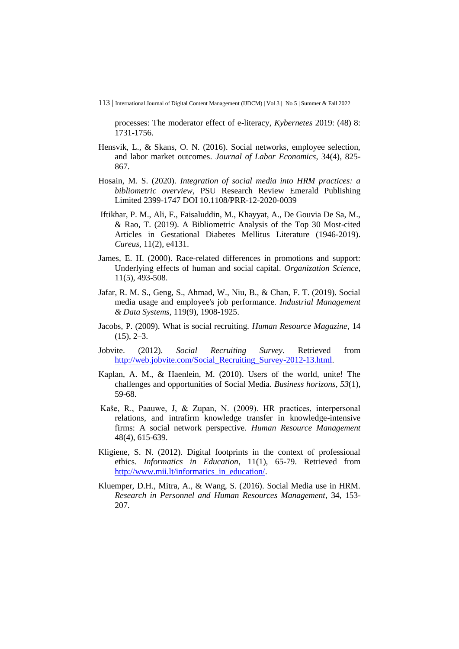processes: The moderator effect of e-literacy, *Kybernetes* 2019: (48) 8: 1731-1756.

- Hensvik, L., & Skans, O. N. (2016). Social networks, employee selection, and labor market outcomes. *Journal of Labor Economics*, 34(4), 825- 867.
- Hosain, M. S. (2020). *Integration of social media into HRM practices: a bibliometric overview*, PSU Research Review Emerald Publishing Limited 2399-1747 DOI 10.1108/PRR-12-2020-0039
- Iftikhar, P. M., Ali, F., Faisaluddin, M., Khayyat, A., De Gouvia De Sa, M., & Rao, T. (2019). A Bibliometric Analysis of the Top 30 Most-cited Articles in Gestational Diabetes Mellitus Literature (1946-2019). *Cureus*, 11(2), e4131.
- James, E. H. (2000). Race-related differences in promotions and support: Underlying effects of human and social capital. *Organization Science*, 11(5), 493-508.
- Jafar, R. M. S., Geng, S., Ahmad, W., Niu, B., & Chan, F. T. (2019). Social media usage and employee's job performance. *Industrial Management & Data Systems*, 119(9), 1908-1925.
- Jacobs, P. (2009). What is social recruiting. *Human Resource Magazine*, 14  $(15)$ ,  $2-3$ .
- Jobvite. (2012). *Social Recruiting Survey*. Retrieved from [http://web.jobvite.com/Social\\_Recruiting\\_Survey-2012-13.html.](http://web.jobvite.com/Social_Recruiting_Survey-2012-13.html)
- Kaplan, A. M., & Haenlein, M. (2010). Users of the world, unite! The challenges and opportunities of Social Media. *Business horizons*, *53*(1), 59-68.
- Kaše, R., Paauwe, J, & Zupan, N. (2009). HR practices, interpersonal relations, and intrafirm knowledge transfer in knowledge-intensive firms: A social network perspective. *Human Resource Management* 48(4), 615-639.
- Kligiene, S. N. (2012). Digital footprints in the context of professional ethics. *Informatics in Education*, 11(1), 65-79. Retrieved from [http://www.mii.lt/informatics\\_in\\_education/.](http://www.mii.lt/informatics_in_education/)
- Kluemper, D.H., Mitra, A., & Wang, S. (2016). Social Media use in HRM. *Research in Personnel and Human Resources Management*, 34, 153- 207.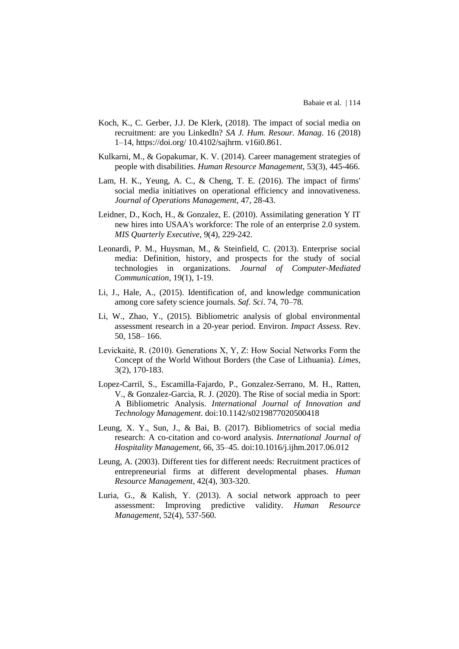- Koch, K., C. Gerber, J.J. De Klerk, (2018). The impact of social media on recruitment: are you LinkedIn? *SA J. Hum. Resour. Manag*. 16 (2018) 1–14, https://doi.org/ 10.4102/sajhrm. v16i0.861.
- Kulkarni, M., & Gopakumar, K. V. (2014). Career management strategies of people with disabilities. *Human Resource Management*, 53(3), 445-466.
- Lam, H. K., Yeung, A. C., & Cheng, T. E. (2016). The impact of firms' social media initiatives on operational efficiency and innovativeness. *Journal of Operations Management,* 47, 28-43.
- Leidner, D., Koch, H., & Gonzalez, E. (2010). Assimilating generation Y IT new hires into USAA's workforce: The role of an enterprise 2.0 system. *MIS Quarterly Executive*, 9(4), 229-242.
- Leonardi, P. M., Huysman, M., & Steinfield, C. (2013). Enterprise social media: Definition, history, and prospects for the study of social technologies in organizations. *Journal of Computer-Mediated Communication*, 19(1), 1-19.
- Li, J., Hale, A., (2015). Identification of, and knowledge communication among core safety science journals. *Saf. Sci*. 74, 70–78.
- Li, W., Zhao, Y., (2015). Bibliometric analysis of global environmental assessment research in a 20-year period. Environ. *Impact Assess*. Rev. 50, 158– 166.
- Levickaitė, R. (2010). Generations X, Y, Z: How Social Networks Form the Concept of the World Without Borders (the Case of Lithuania). *Limes*, 3(2), 170-183.
- Lopez-Carril, S., Escamilla-Fajardo, P., Gonzalez-Serrano, M. H., Ratten, V., & Gonzalez-Garcia, R. J. (2020). The Rise of social media in Sport: A Bibliometric Analysis. *International Journal of Innovation and Technology Management*. doi:10.1142/s0219877020500418
- Leung, X. Y., Sun, J., & Bai, B. (2017). Bibliometrics of social media research: A co-citation and co-word analysis. *International Journal of Hospitality Management*, 66, 35–45. doi:10.1016/j.ijhm.2017.06.012
- Leung, A. (2003). Different ties for different needs: Recruitment practices of entrepreneurial firms at different developmental phases. *Human Resource Management*, 42(4), 303-320.
- Luria, G., & Kalish, Y. (2013). A social network approach to peer assessment: Improving predictive validity. *Human Resource Management*, 52(4), 537-560.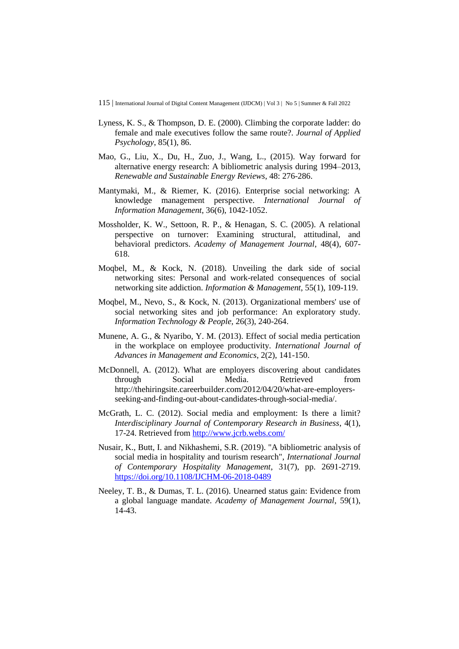- Lyness, K. S., & Thompson, D. E. (2000). Climbing the corporate ladder: do female and male executives follow the same route?. *Journal of Applied Psychology*, 85(1), 86.
- Mao, G., Liu, X., Du, H., Zuo, J., Wang, L., (2015). Way forward for alternative energy research: A bibliometric analysis during 1994–2013, *Renewable and Sustainable Energy Reviews*, 48: 276-286.
- Mantymaki, M., & Riemer, K. (2016). Enterprise social networking: A knowledge management perspective. *International Journal of Information Management*, 36(6), 1042-1052.
- Mossholder, K. W., Settoon, R. P., & Henagan, S. C. (2005). A relational perspective on turnover: Examining structural, attitudinal, and behavioral predictors. *Academy of Management Journal*, 48(4), 607- 618.
- Moqbel, M., & Kock, N. (2018). Unveiling the dark side of social networking sites: Personal and work-related consequences of social networking site addiction. *Information & Management*, 55(1), 109-119.
- Moqbel, M., Nevo, S., & Kock, N. (2013). Organizational members' use of social networking sites and job performance: An exploratory study. *Information Technology & People,* 26(3), 240-264.
- Munene, A. G., & Nyaribo, Y. M. (2013). Effect of social media pertication in the workplace on employee productivity. *International Journal of Advances in Management and Economics*, 2(2), 141-150.
- McDonnell, A. (2012). What are employers discovering about candidates through Social Media. Retrieved from http://thehiringsite.careerbuilder.com/2012/04/20/what-are-employersseeking-and-finding-out-about-candidates-through-social-media/.
- McGrath, L. C. (2012). Social media and employment: Is there a limit? *Interdisciplinary Journal of Contemporary Research in Business*, 4(1), 17-24. Retrieved fro[m http://www.jcrb.webs.com/](http://www.jcrb.webs.com/)
- Nusair, K., Butt, I. and Nikhashemi, S.R. (2019). "A bibliometric analysis of social media in hospitality and tourism research", *International Journal of Contemporary Hospitality Management*, 31(7), pp. 2691-2719. <https://doi.org/10.1108/IJCHM-06-2018-0489>
- Neeley, T. B., & Dumas, T. L. (2016). Unearned status gain: Evidence from a global language mandate. *Academy of Management Journal*, 59(1), 14-43.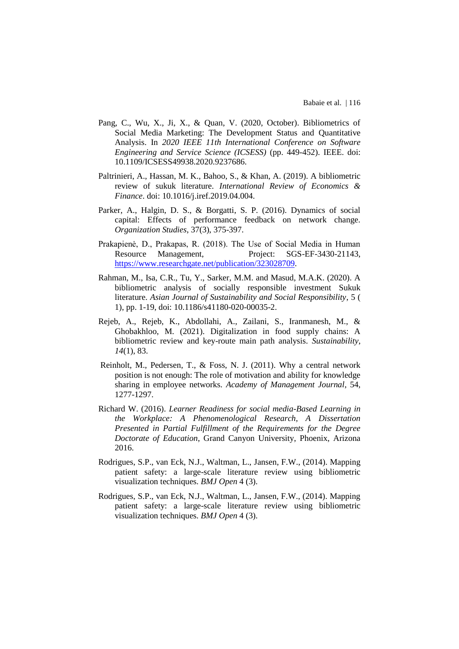- Pang, C., Wu, X., Ji, X., & Quan, V. (2020, October). Bibliometrics of Social Media Marketing: The Development Status and Quantitative Analysis. In *2020 IEEE 11th International Conference on Software Engineering and Service Science (ICSESS)* (pp. 449-452). IEEE. doi: 10.1109/ICSESS49938.2020.9237686.
- Paltrinieri, A., Hassan, M. K., Bahoo, S., & Khan, A. (2019). A bibliometric review of sukuk literature. *International Review of Economics & Finance*. doi: 10.1016/j.iref.2019.04.004.
- Parker, A., Halgin, D. S., & Borgatti, S. P. (2016). Dynamics of social capital: Effects of performance feedback on network change. *Organization Studies*, 37(3), 375-397.
- Prakapienė, D., Prakapas, R. (2018). The Use of Social Media in Human Resource Management, Project: SGS-EF-3430-21143, [https://www.researchgate.net/publication/323028709.](https://www.researchgate.net/publication/323028709)
- Rahman, M., Isa, C.R., Tu, Y., Sarker, M.M. and Masud, M.A.K. (2020). A bibliometric analysis of socially responsible investment Sukuk literature. *Asian Journal of Sustainability and Social Responsibility*, 5 ( 1), pp. 1-19, doi: 10.1186/s41180-020-00035-2.
- Rejeb, A., Rejeb, K., Abdollahi, A., Zailani, S., Iranmanesh, M., & Ghobakhloo, M. (2021). Digitalization in food supply chains: A bibliometric review and key-route main path analysis. *Sustainability*, *14*(1), 83.
- Reinholt, M., Pedersen, T., & Foss, N. J. (2011). Why a central network position is not enough: The role of motivation and ability for knowledge sharing in employee networks. *Academy of Management Journal*, 54, 1277-1297.
- Richard W. (2016). *Learner Readiness for social media-Based Learning in the Workplace: A Phenomenological Research, A Dissertation Presented in Partial Fulfillment of the Requirements for the Degree Doctorate of Education*, Grand Canyon University, Phoenix, Arizona 2016.
- Rodrigues, S.P., van Eck, N.J., Waltman, L., Jansen, F.W., (2014). Mapping patient safety: a large-scale literature review using bibliometric visualization techniques. *BMJ Open* 4 (3).
- Rodrigues, S.P., van Eck, N.J., Waltman, L., Jansen, F.W., (2014). Mapping patient safety: a large-scale literature review using bibliometric visualization techniques. *BMJ Open* 4 (3).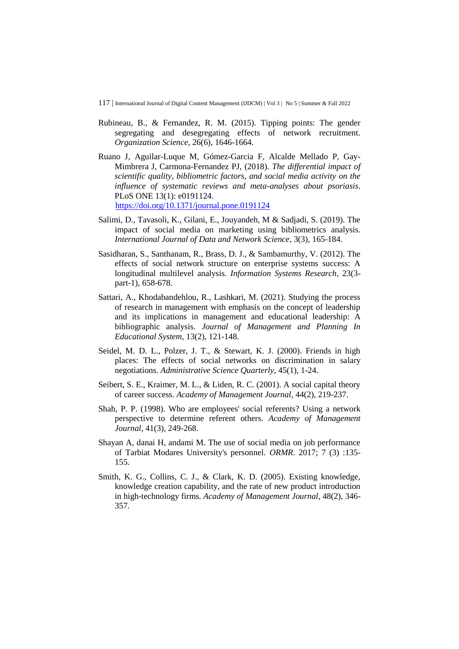- Rubineau, B., & Fernandez, R. M. (2015). Tipping points: The gender segregating and desegregating effects of network recruitment. *Organization Science*, 26(6), 1646-1664.
- Ruano J, Aguilar-Luque M, Gómez-Garcia F, Alcalde Mellado P, Gay-Mimbrera J, Carmona-Fernandez PJ, (2018). *The differential impact of scientific quality, bibliometric factors, and social media activity on the influence of systematic reviews and meta-analyses about psoriasis*. PLoS ONE 13(1): e0191124. <https://doi.org/10.1371/journal.pone.0191124>
- Salimi, D., Tavasoli, K., Gilani, E., Jouyandeh, M & Sadjadi, S. (2019). The impact of social media on marketing using bibliometrics analysis. *International Journal of Data and Network Science*, 3(3), 165-184.
- Sasidharan, S., Santhanam, R., Brass, D. J., & Sambamurthy, V. (2012). The effects of social network structure on enterprise systems success: A longitudinal multilevel analysis. *Information Systems Research*, 23(3 part-1), 658-678.
- Sattari, A., Khodabandehlou, R., Lashkari, M. (2021). Studying the process of research in management with emphasis on the concept of leadership and its implications in management and educational leadership: A bibliographic analysis. *Journal of Management and Planning In Educational System*, 13(2), 121-148.
- Seidel, M. D. L., Polzer, J. T., & Stewart, K. J. (2000). Friends in high places: The effects of social networks on discrimination in salary negotiations. *Administrative Science Quarterly*, 45(1), 1-24.
- Seibert, S. E., Kraimer, M. L., & Liden, R. C. (2001). A social capital theory of career success. *Academy of Management Journal*, 44(2), 219-237.
- Shah, P. P. (1998). Who are employees' social referents? Using a network perspective to determine referent others. *Academy of Management Journal*, 41(3), 249-268.
- Shayan A, danai H, andami M. The use of social media on job performance of Tarbiat Modares University's personnel. *ORMR*. 2017; 7 (3) :135- 155.
- Smith, K. G., Collins, C. J., & Clark, K. D. (2005). Existing knowledge, knowledge creation capability, and the rate of new product introduction in high-technology firms. *Academy of Management Journal*, 48(2), 346- 357.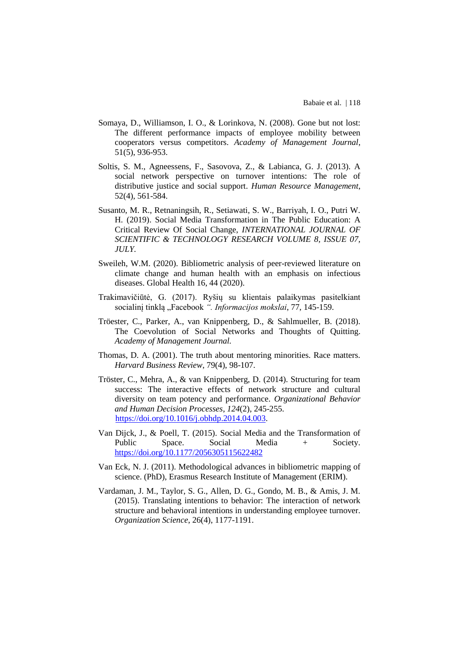- Somaya, D., Williamson, I. O., & Lorinkova, N. (2008). Gone but not lost: The different performance impacts of employee mobility between cooperators versus competitors. *Academy of Management Journal*, 51(5), 936-953.
- Soltis, S. M., Agneessens, F., Sasovova, Z., & Labianca, G. J. (2013). A social network perspective on turnover intentions: The role of distributive justice and social support. *Human Resource Management*, 52(4), 561-584.
- Susanto, M. R., Retnaningsih, R., Setiawati, S. W., Barriyah, I. O., Putri W. H. (2019). Social Media Transformation in The Public Education: A Critical Review Of Social Change, *INTERNATIONAL JOURNAL OF SCIENTIFIC & TECHNOLOGY RESEARCH VOLUME 8, ISSUE 07, JULY.*
- Sweileh, W.M. (2020). Bibliometric analysis of peer-reviewed literature on climate change and human health with an emphasis on infectious diseases. Global Health 16, 44 (2020).
- Trakimavičiūtė, G. (2017). Ryšių su klientais palaikymas pasitelkiant socialinį tinklą "Facebook". *Informacijos mokslai*, 77, 145-159.
- Tröester, C., Parker, A., van Knippenberg, D., & Sahlmueller, B. (2018). The Coevolution of Social Networks and Thoughts of Quitting. *Academy of Management Journal.*
- Thomas, D. A. (2001). The truth about mentoring minorities. Race matters. *Harvard Business Review*, 79(4), 98-107.
- Tröster, C., Mehra, A., & van Knippenberg, D. (2014). Structuring for team success: The interactive effects of network structure and cultural diversity on team potency and performance. *Organizational Behavior and Human Decision Processes*, *124*(2), 245-255. [https://doi.org/10.1016/j.obhdp.2014.04.003.](https://doi.org/10.1016/j.obhdp.2014.04.003)
- Van Dijck, J., & Poell, T. (2015). Social Media and the Transformation of Public Space. Social Media + Society. <https://doi.org/10.1177/2056305115622482>
- Van Eck, N. J. (2011). Methodological advances in bibliometric mapping of science. (PhD), Erasmus Research Institute of Management (ERIM).
- Vardaman, J. M., Taylor, S. G., Allen, D. G., Gondo, M. B., & Amis, J. M. (2015). Translating intentions to behavior: The interaction of network structure and behavioral intentions in understanding employee turnover. *Organization Science*, 26(4), 1177-1191.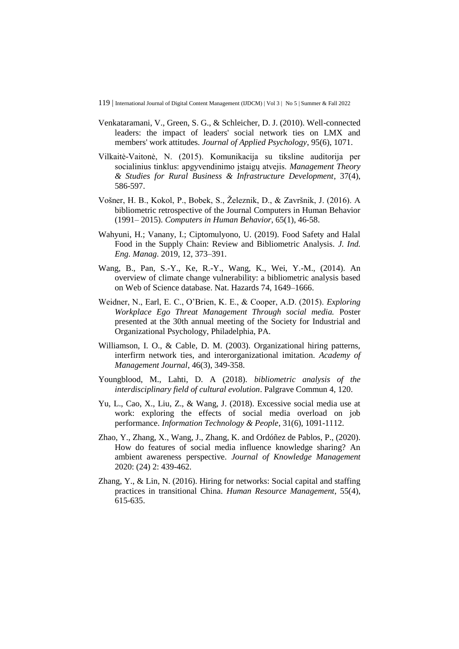- Venkataramani, V., Green, S. G., & Schleicher, D. J. (2010). Well-connected leaders: the impact of leaders' social network ties on LMX and members' work attitudes. *Journal of Applied Psychology*, 95(6), 1071.
- Vilkaitė-Vaitonė, N. (2015). Komunikacija su tiksline auditorija per socialinius tinklus: apgyvendinimo įstaigų atvejis. *Management Theory & Studies for Rural Business & Infrastructure Development*, 37(4), 586-597.
- Vošner, H. B., Kokol, P., Bobek, S., Železnik, D., & Završnik, J. (2016). A bibliometric retrospective of the Journal Computers in Human Behavior (1991– 2015). *Computers in Human Behavior*, 65(1), 46-58.
- Wahyuni, H.; Vanany, I.; Ciptomulyono, U. (2019). Food Safety and Halal Food in the Supply Chain: Review and Bibliometric Analysis. *J. Ind. Eng. Manag*. 2019, 12, 373–391.
- Wang, B., Pan, S.-Y., Ke, R.-Y., Wang, K., Wei, Y.-M., (2014). An overview of climate change vulnerability: a bibliometric analysis based on Web of Science database. Nat. Hazards 74, 1649–1666.
- Weidner, N., Earl, E. C., O'Brien, K. E., & Cooper, A.D. (2015). *Exploring Workplace Ego Threat Management Through social media.* Poster presented at the 30th annual meeting of the Society for Industrial and Organizational Psychology, Philadelphia, PA.
- Williamson, I. O., & Cable, D. M. (2003). Organizational hiring patterns, interfirm network ties, and interorganizational imitation. *Academy of Management Journal*, 46(3), 349-358.
- Youngblood, M., Lahti, D. A (2018). *bibliometric analysis of the interdisciplinary field of cultural evolution*. Palgrave Commun 4, 120.
- Yu, L., Cao, X., Liu, Z., & Wang, J. (2018). Excessive social media use at work: exploring the effects of social media overload on job performance. *Information Technology & People*, 31(6), 1091-1112.
- Zhao, Y., Zhang, X., Wang, J., Zhang, K. and Ordóñez de Pablos, P., (2020). How do features of social media influence knowledge sharing? An ambient awareness perspective. *Journal of Knowledge Management* 2020: (24) 2: 439-462.
- Zhang, Y., & Lin, N. (2016). Hiring for networks: Social capital and staffing practices in transitional China. *Human Resource Management*, 55(4), 615-635.